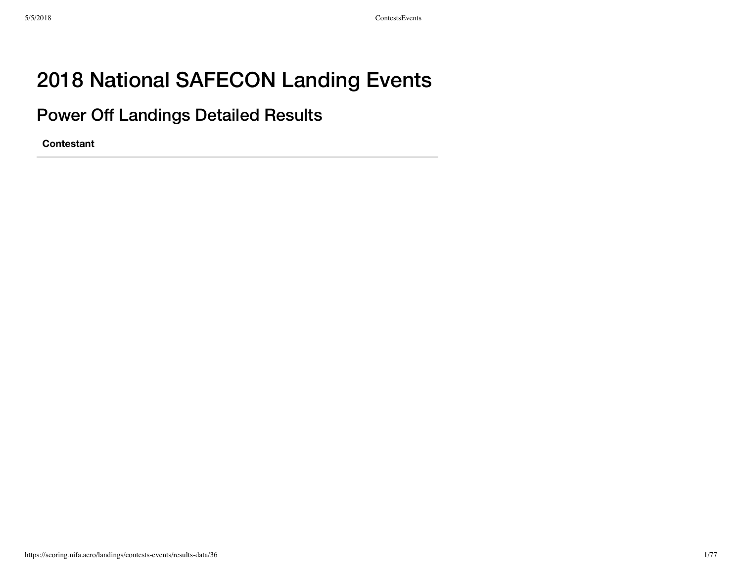# 2018 National SAFECON Landing Events

Power Off Landings Detailed Results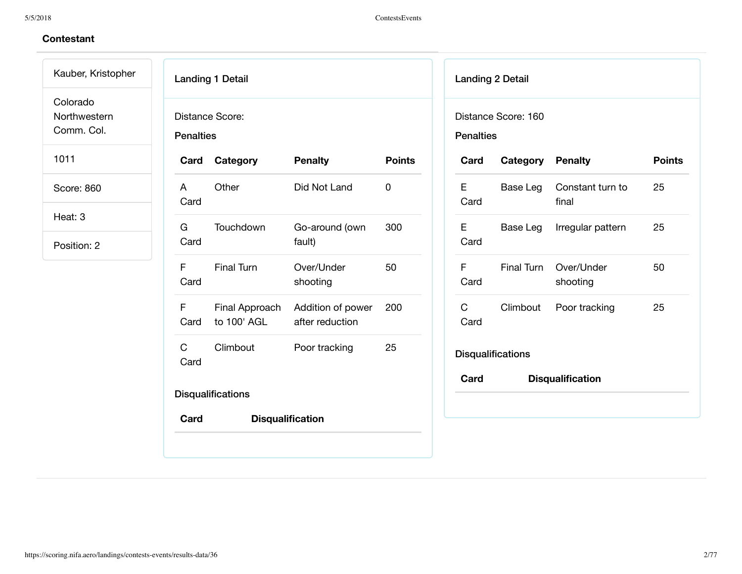# **Contestant**

Kauber, Kristopher Colorado Northwestern

Comm. Col.

1011

Score: 860

Heat: 3

| <b>Landing 1 Detail</b><br>Distance Score:<br><b>Penalties</b> |                                    |                                      |               |  |  |
|----------------------------------------------------------------|------------------------------------|--------------------------------------|---------------|--|--|
|                                                                | Card Category                      | <b>Penalty</b>                       | <b>Points</b> |  |  |
| $\overline{A}$<br>Card                                         | Other                              | Did Not Land                         | 0             |  |  |
| G a<br>Card                                                    | Touchdown                          | Go-around (own<br>fault)             | 300           |  |  |
| Card                                                           | F Final Turn                       | Over/Under<br>shooting               | 50            |  |  |
| F.                                                             | Final Approach<br>Card to 100' AGL | Addition of power<br>after reduction | 200           |  |  |
| $\mathbf{C}$<br>Card                                           | Climbout                           | Poor tracking                        | 25            |  |  |
| <b>Disqualifications</b>                                       |                                    |                                      |               |  |  |
| Card                                                           |                                    | <b>Disqualification</b>              |               |  |  |

| Distance Score: 160<br><b>Penalties</b> |                         |                           |               |  |  |
|-----------------------------------------|-------------------------|---------------------------|---------------|--|--|
| Card                                    | <b>Category Penalty</b> |                           | <b>Points</b> |  |  |
| E<br>Card                               | Base Leg                | Constant turn to<br>final | 25            |  |  |
| E<br>Card                               | Base Leg                | Irregular pattern         | 25            |  |  |
| F<br>Card                               | Final Turn              | Over/Under<br>shooting    | 50            |  |  |
| $\mathsf{C}$<br>Card                    | Climbout                | Poor tracking             | 25            |  |  |
| <b>Disqualifications</b>                |                         |                           |               |  |  |
| Card                                    |                         | <b>Disqualification</b>   |               |  |  |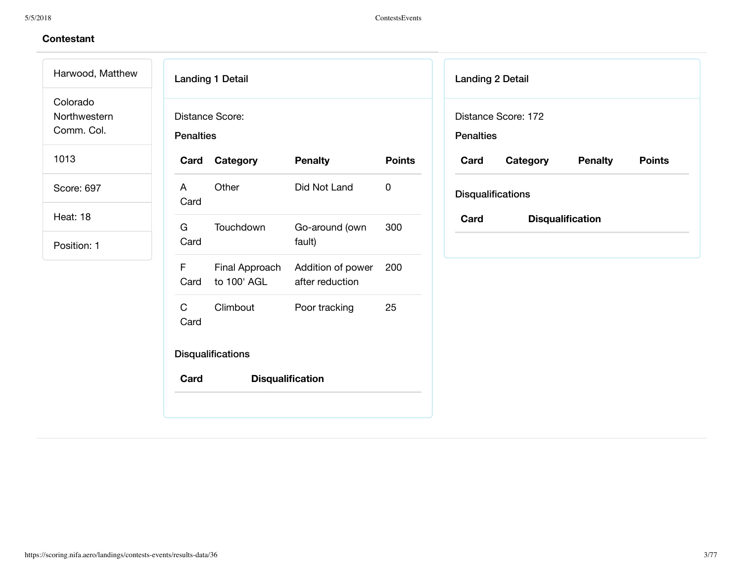# **Contestant**

Harwood, Matthew Colorado Northwestern

Comm. Col.

1013

Score: 697

Heat: 18

| Card                   | Category                    | <b>Penalty</b>                   | <b>Points</b> |
|------------------------|-----------------------------|----------------------------------|---------------|
| $\overline{A}$<br>Card | Other                       | Did Not Land                     | 0             |
| G a<br>Card            | Touchdown                   | Go-around (own<br>fault)         | 300           |
| F.<br>Card             | to 100' AGL after reduction | Final Approach Addition of power | 200           |
| C.<br>Card             | Climbout                    | Poor tracking                    | 25            |

| <b>Landing 2 Detail</b>                             |                         |  |  |  |  |  |
|-----------------------------------------------------|-------------------------|--|--|--|--|--|
| Distance Score: 172                                 |                         |  |  |  |  |  |
| <b>Penalties</b>                                    |                         |  |  |  |  |  |
| Card<br><b>Points</b><br>Category<br><b>Penalty</b> |                         |  |  |  |  |  |
| <b>Disqualifications</b>                            |                         |  |  |  |  |  |
| Card                                                | <b>Disqualification</b> |  |  |  |  |  |
|                                                     |                         |  |  |  |  |  |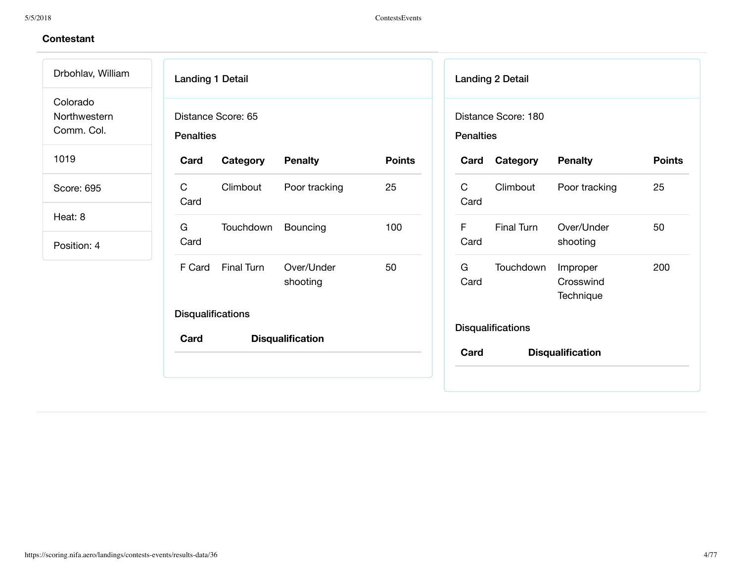| Drbohlav, William                      | <b>Landing 1 Detail</b>                |                         |               |                      | <b>Landing 2 Detail</b>                 |                                    |               |
|----------------------------------------|----------------------------------------|-------------------------|---------------|----------------------|-----------------------------------------|------------------------------------|---------------|
| Colorado<br>Northwestern<br>Comm. Col. | Distance Score: 65<br><b>Penalties</b> |                         |               |                      | Distance Score: 180<br><b>Penalties</b> |                                    |               |
| 1019                                   | Card<br>Category                       | <b>Penalty</b>          | <b>Points</b> | Card                 | Category                                | <b>Penalty</b>                     | <b>Points</b> |
| Score: 695                             | $\mathsf{C}$<br>Climbout<br>Card       | Poor tracking           | 25            | $\mathsf{C}$<br>Card | Climbout                                | Poor tracking                      | 25            |
| Heat: 8                                | G<br>Touchdown                         | Bouncing                | 100           | F.                   | Final Turn                              | Over/Under                         | 50            |
| Position: 4                            | Card                                   |                         |               | Card                 |                                         | shooting                           |               |
|                                        | Final Turn<br>F Card                   | Over/Under<br>shooting  | 50            | G<br>Card            | Touchdown                               | Improper<br>Crosswind<br>Technique | 200           |
|                                        | <b>Disqualifications</b>               |                         |               |                      |                                         |                                    |               |
|                                        | Card                                   | <b>Disqualification</b> |               | Card                 | <b>Disqualifications</b>                | <b>Disqualification</b>            |               |
|                                        |                                        |                         |               |                      |                                         |                                    |               |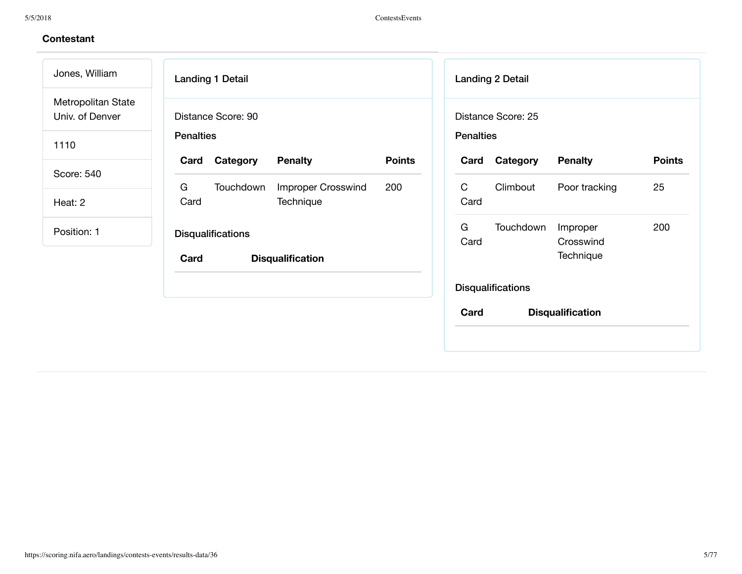| Jones, William                        | <b>Landing 1 Detail</b>                                                 | <b>Landing 2 Detail</b>                                             |
|---------------------------------------|-------------------------------------------------------------------------|---------------------------------------------------------------------|
| Metropolitan State<br>Univ. of Denver | Distance Score: 90                                                      | Distance Score: 25                                                  |
| 1110                                  | <b>Penalties</b>                                                        | <b>Penalties</b>                                                    |
| Score: 540                            | Category<br><b>Penalty</b><br><b>Points</b><br>Card                     | Category<br><b>Penalty</b><br><b>Points</b><br>Card                 |
| Heat: 2                               | G<br>Touchdown<br><b>Improper Crosswind</b><br>200<br>Card<br>Technique | $\mathsf{C}$<br>Climbout<br>Poor tracking<br>25<br>Card             |
| Position: 1                           | <b>Disqualifications</b><br><b>Disqualification</b><br>Card             | G<br>200<br>Touchdown<br>Improper<br>Card<br>Crosswind<br>Technique |
|                                       |                                                                         | <b>Disqualifications</b>                                            |
|                                       |                                                                         | <b>Disqualification</b><br>Card                                     |
|                                       |                                                                         |                                                                     |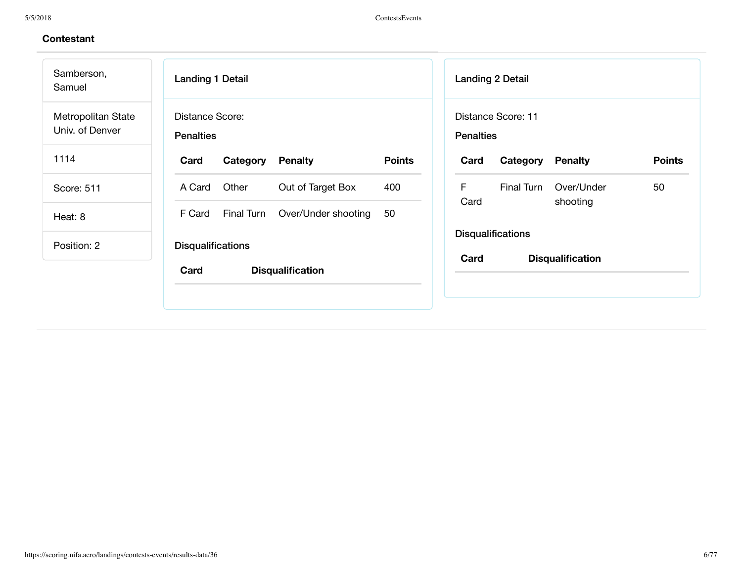| Samberson,<br>Samuel                  | <b>Landing 1 Detail</b>                             | <b>Landing 2 Detail</b>                                     |  |  |
|---------------------------------------|-----------------------------------------------------|-------------------------------------------------------------|--|--|
| Metropolitan State<br>Univ. of Denver | <b>Distance Score:</b><br><b>Penalties</b>          | Distance Score: 11<br><b>Penalties</b>                      |  |  |
| 1114                                  | <b>Points</b><br>Category<br><b>Penalty</b><br>Card | <b>Points</b><br><b>Penalty</b><br>Card<br>Category         |  |  |
| Score: 511                            | Other<br>Out of Target Box<br>A Card<br>400         | F<br>50<br>Final Turn<br>Over/Under                         |  |  |
| Heat: 8                               | Final Turn<br>Over/Under shooting<br>50<br>F Card   | Card<br>shooting                                            |  |  |
| Position: 2                           | <b>Disqualifications</b>                            | <b>Disqualifications</b><br><b>Disqualification</b><br>Card |  |  |
|                                       | Card<br><b>Disqualification</b>                     |                                                             |  |  |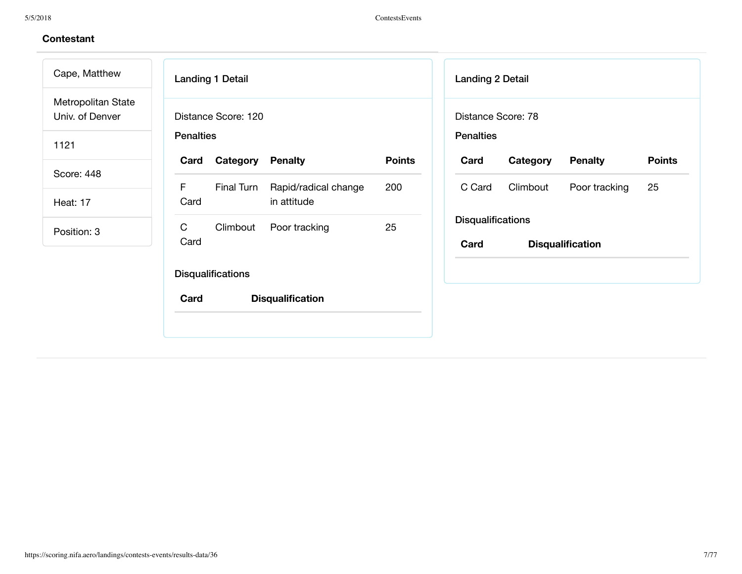| Metropolitan State<br>Univ. of Denver<br>Distance Score: 120<br>Distance Score: 78<br><b>Penalties</b><br><b>Penalties</b><br>1121<br><b>Points</b><br>Category<br><b>Penalty</b><br>Category<br><b>Penalty</b><br>Card<br>Card<br>Score: 448<br>F<br>Climbout<br>Final Turn<br>Rapid/radical change<br>200<br>C Card<br>in attitude<br>Card<br><b>Heat: 17</b><br><b>Disqualifications</b><br>$\mathsf C$<br>25<br>Poor tracking<br>Climbout<br>Position: 3<br>Card<br><b>Disqualification</b><br>Card<br><b>Disqualifications</b> | Cape, Matthew |  | <b>Landing 1 Detail</b> |  |  | <b>Landing 2 Detail</b> |               |
|-------------------------------------------------------------------------------------------------------------------------------------------------------------------------------------------------------------------------------------------------------------------------------------------------------------------------------------------------------------------------------------------------------------------------------------------------------------------------------------------------------------------------------------|---------------|--|-------------------------|--|--|-------------------------|---------------|
|                                                                                                                                                                                                                                                                                                                                                                                                                                                                                                                                     |               |  |                         |  |  |                         |               |
|                                                                                                                                                                                                                                                                                                                                                                                                                                                                                                                                     |               |  |                         |  |  |                         |               |
|                                                                                                                                                                                                                                                                                                                                                                                                                                                                                                                                     |               |  |                         |  |  |                         |               |
|                                                                                                                                                                                                                                                                                                                                                                                                                                                                                                                                     |               |  |                         |  |  |                         | Poor tracking |
|                                                                                                                                                                                                                                                                                                                                                                                                                                                                                                                                     |               |  |                         |  |  |                         |               |
|                                                                                                                                                                                                                                                                                                                                                                                                                                                                                                                                     |               |  |                         |  |  |                         |               |
|                                                                                                                                                                                                                                                                                                                                                                                                                                                                                                                                     |               |  |                         |  |  |                         |               |
| Card<br><b>Disqualification</b>                                                                                                                                                                                                                                                                                                                                                                                                                                                                                                     |               |  |                         |  |  |                         |               |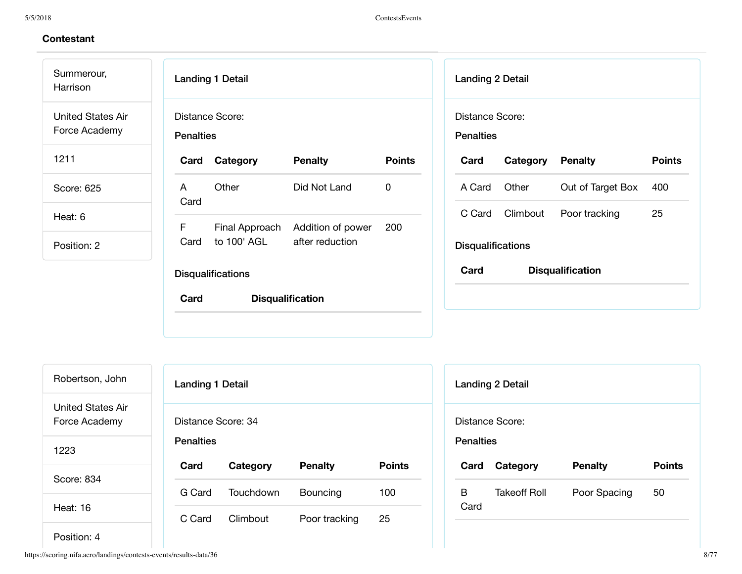Summerour, Harrison United States Air Force Academy

1211

Score: 625

Heat: 6

Position: 2

| <b>Landing 1 Detail</b>  |                                                    |                         |               |  |  |  |  |
|--------------------------|----------------------------------------------------|-------------------------|---------------|--|--|--|--|
|                          | Distance Score:<br><b>Penalties</b>                |                         |               |  |  |  |  |
| Card                     | Category                                           | <b>Penalty</b>          | <b>Points</b> |  |  |  |  |
| A<br>Card                | Other                                              | Did Not Land            | O             |  |  |  |  |
| F                        | Final Approach<br>Card to 100' AGL after reduction | Addition of power       | 200           |  |  |  |  |
| <b>Disqualifications</b> |                                                    |                         |               |  |  |  |  |
| Card                     |                                                    | <b>Disqualification</b> |               |  |  |  |  |
|                          |                                                    |                         |               |  |  |  |  |

| <b>Landing 2 Detail</b>                         |                            |               |    |  |  |  |
|-------------------------------------------------|----------------------------|---------------|----|--|--|--|
| Distance Score:<br><b>Penalties</b><br>Category |                            |               |    |  |  |  |
| Card                                            | <b>Points</b>              |               |    |  |  |  |
| A Card                                          | Other<br>Out of Target Box |               |    |  |  |  |
| C Card                                          | Climbout                   | Poor tracking | 25 |  |  |  |
| <b>Disqualifications</b>                        |                            |               |    |  |  |  |
| Card<br><b>Disqualification</b>                 |                            |               |    |  |  |  |
|                                                 |                            |               |    |  |  |  |

| Robertson, John                    | <b>Landing 1 Detail</b> |           |                |               | Landing 2 D      |     |
|------------------------------------|-------------------------|-----------|----------------|---------------|------------------|-----|
| United States Air<br>Force Academy | Distance Score: 34      |           |                |               | Distance Sco     |     |
| 1223                               | <b>Penalties</b>        |           |                |               | <b>Penalties</b> |     |
|                                    | Card                    | Category  | <b>Penalty</b> | <b>Points</b> | Card             | Cat |
| Score: 834                         | G Card                  | Touchdown | Bouncing       | 100           | B                | Tak |
| Heat: 16                           | C Card                  | Climbout  | Poor tracking  | 25            | Card             |     |
|                                    |                         |           |                |               |                  |     |

|                  | <b>Landing 2 Detail</b> |                |               |
|------------------|-------------------------|----------------|---------------|
| <b>Penalties</b> | Distance Score:         |                |               |
| Card             | Category                | <b>Penalty</b> | <b>Points</b> |
| B.<br>Card       | <b>Takeoff Roll</b>     | Poor Spacing   | 50            |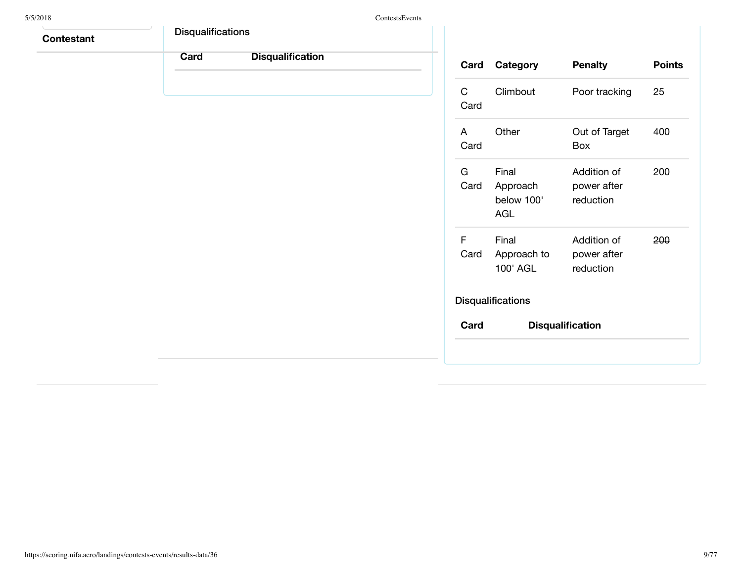| 5/5/2018          |                          |                         | ContestsEvents |                      |                                        |                                         |    |
|-------------------|--------------------------|-------------------------|----------------|----------------------|----------------------------------------|-----------------------------------------|----|
| <b>Contestant</b> | <b>Disqualifications</b> |                         |                |                      |                                        |                                         |    |
|                   | Card                     | <b>Disqualification</b> |                | Card                 | Category                               | <b>Penalty</b>                          | Po |
|                   |                          |                         |                | $\mathbf C$<br>Card  | Climbout                               | Poor tracking                           | 25 |
|                   |                          |                         |                | $\mathsf{A}$<br>Card | Other                                  | Out of Target<br>Box                    | 40 |
|                   |                          |                         |                | G<br>Card            | Final<br>Approach<br>below 100'<br>AGL | Addition of<br>power after<br>reduction | 20 |
|                   |                          |                         |                | F<br>Card            | Final<br>Approach to<br>100' AGL       | Addition of<br>power after<br>reduction | 20 |
|                   |                          |                         |                |                      | <b>Disqualifications</b>               |                                         |    |
|                   |                          |                         |                | Card                 |                                        | <b>Disqualification</b>                 |    |
|                   |                          |                         |                |                      |                                        |                                         |    |
|                   |                          |                         |                |                      |                                        |                                         |    |

**Points** 

400

200

200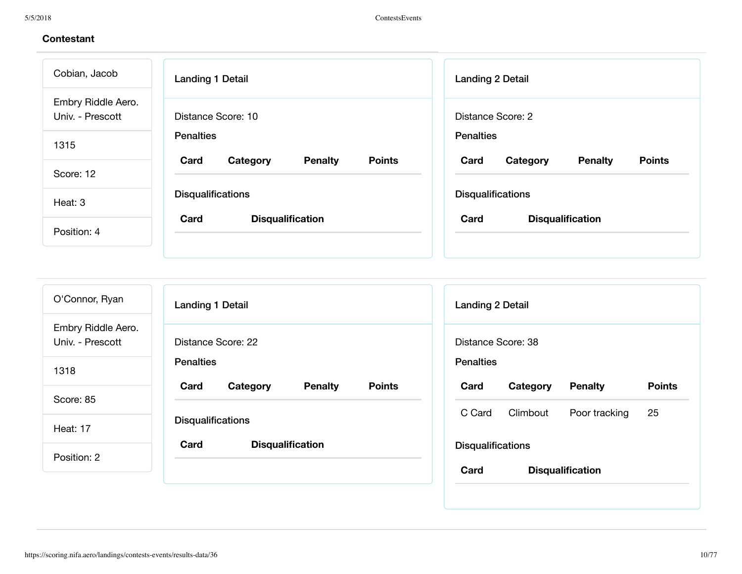| Cobian, Jacob                          | <b>Landing 1 Detail</b>                             | <b>Landing 2 Detail</b>                             |  |  |
|----------------------------------------|-----------------------------------------------------|-----------------------------------------------------|--|--|
| Embry Riddle Aero.<br>Univ. - Prescott | Distance Score: 10                                  | Distance Score: 2                                   |  |  |
| 1315                                   | <b>Penalties</b>                                    | <b>Penalties</b>                                    |  |  |
| Score: 12                              | <b>Points</b><br>Card<br><b>Penalty</b><br>Category | <b>Points</b><br>Card<br>Category<br><b>Penalty</b> |  |  |
| Heat: 3                                | <b>Disqualifications</b>                            | <b>Disqualifications</b>                            |  |  |
| Position: 4                            | Card<br><b>Disqualification</b>                     | Card<br><b>Disqualification</b>                     |  |  |
|                                        |                                                     |                                                     |  |  |

| O'Connor, Ryan                                     | <b>Landing 1 Detail</b>                             | <b>Landing 2 Detail</b>                             |  |  |  |
|----------------------------------------------------|-----------------------------------------------------|-----------------------------------------------------|--|--|--|
| Embry Riddle Aero.<br>Univ. - Prescott             | Distance Score: 22                                  | Distance Score: 38                                  |  |  |  |
| 1318                                               | <b>Penalties</b>                                    | <b>Penalties</b>                                    |  |  |  |
| Score: 85                                          | <b>Points</b><br>Card<br>Category<br><b>Penalty</b> | <b>Points</b><br>Card<br><b>Penalty</b><br>Category |  |  |  |
|                                                    | <b>Disqualifications</b>                            | 25<br>C Card<br>Climbout<br>Poor tracking           |  |  |  |
| <b>Heat: 17</b><br>Card<br><b>Disqualification</b> |                                                     | <b>Disqualifications</b>                            |  |  |  |
| Position: 2                                        |                                                     | Card<br><b>Disqualification</b>                     |  |  |  |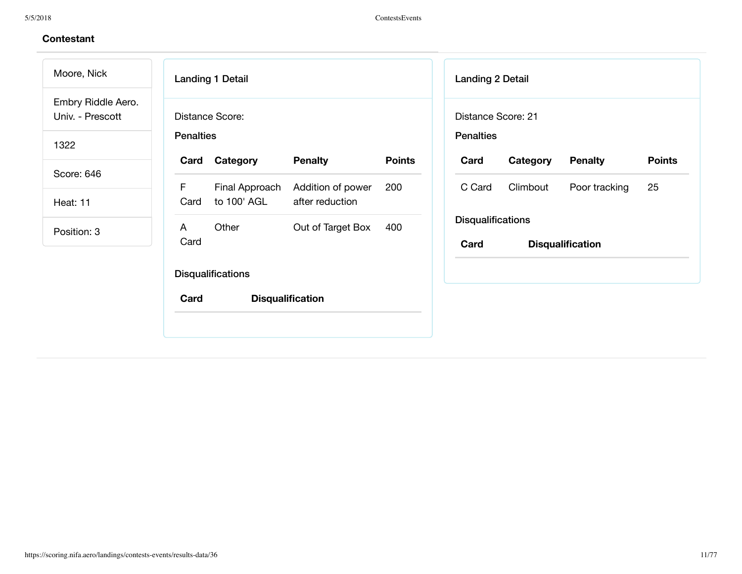| Moore, Nick                            |                  | <b>Landing 1 Detail</b>       |                                      |               | Landing 2 Detail         |          |                         |
|----------------------------------------|------------------|-------------------------------|--------------------------------------|---------------|--------------------------|----------|-------------------------|
| Embry Riddle Aero.<br>Univ. - Prescott |                  | Distance Score:               |                                      |               | Distance Score: 21       |          |                         |
| 1322                                   | <b>Penalties</b> |                               |                                      |               | <b>Penalties</b>         |          |                         |
| Score: 646                             | Card             | Category                      | <b>Penalty</b>                       | <b>Points</b> | Card                     | Category | <b>Penalty</b>          |
| Heat: 11                               | F<br>Card        | Final Approach<br>to 100' AGL | Addition of power<br>after reduction | 200           | C Card                   | Climbout | Poor tracking           |
| Position: 3                            | A                | Other                         | Out of Target Box                    | 400           | <b>Disqualifications</b> |          |                         |
|                                        | Card             |                               |                                      |               | Card                     |          | <b>Disqualification</b> |
|                                        |                  | <b>Disqualifications</b>      |                                      |               |                          |          |                         |
|                                        | Card             |                               | <b>Disqualification</b>              |               |                          |          |                         |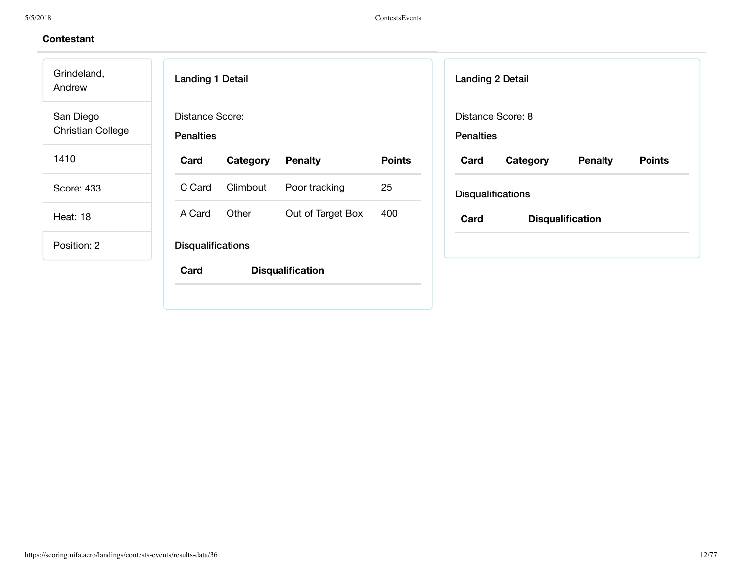| Grindeland,<br>Andrew                 | <b>Landing 1 Detail</b>                    | <b>Landing 2 Detail</b>                                              |
|---------------------------------------|--------------------------------------------|----------------------------------------------------------------------|
| San Diego<br><b>Christian College</b> | <b>Distance Score:</b><br><b>Penalties</b> | Distance Score: 8<br><b>Penalties</b>                                |
| 1410                                  | Card<br>Category<br><b>Penalty</b>         | <b>Points</b><br><b>Points</b><br><b>Penalty</b><br>Card<br>Category |
| Score: 433                            | Climbout<br>Poor tracking<br>C Card        | 25<br><b>Disqualifications</b>                                       |
| Heat: 18                              | Other<br>Out of Target Box<br>A Card       | 400<br>Card<br><b>Disqualification</b>                               |
| Position: 2                           | <b>Disqualifications</b>                   |                                                                      |
|                                       | Card<br><b>Disqualification</b>            |                                                                      |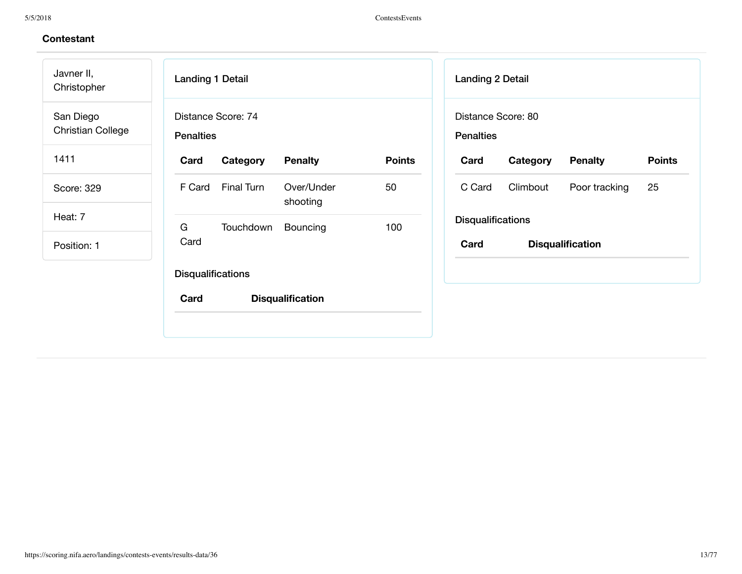Landing 1 Detail Distance Score: 74 **Penalties Card Category Penalty Points** F Card Final Turn Over/Under shooting 50 G Card Touchdown Bouncing 100 **Disqualifications Card Disqualification** Javner II, Christopher San Diego Christian College 1411 Score: 329 Heat: 7 Position: 1

| <b>Landing 2 Detail</b>                |          |                |               |  |  |  |  |
|----------------------------------------|----------|----------------|---------------|--|--|--|--|
| Distance Score: 80<br><b>Penalties</b> |          |                |               |  |  |  |  |
| Card                                   | Category | <b>Penalty</b> | <b>Points</b> |  |  |  |  |
| C Card                                 | Climbout | Poor tracking  | 25            |  |  |  |  |
| <b>Disqualifications</b>               |          |                |               |  |  |  |  |
| Card<br><b>Disqualification</b>        |          |                |               |  |  |  |  |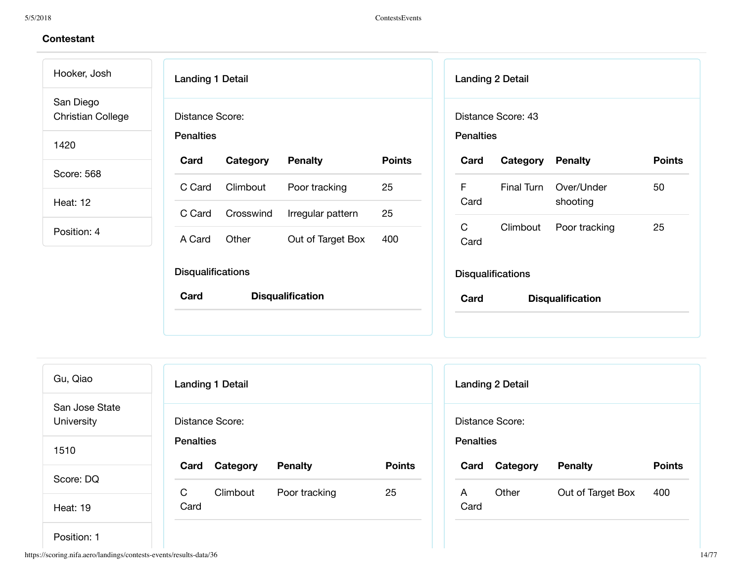Hooker, Josh San Diego Christian College

1420

Score: 568

Heat: 12

Position: 4

| <b>Landing 1 Detail</b>             |           |                         |               |  |  |  |
|-------------------------------------|-----------|-------------------------|---------------|--|--|--|
| Distance Score:<br><b>Penalties</b> |           |                         |               |  |  |  |
| Card                                | Category  | <b>Penalty</b>          | <b>Points</b> |  |  |  |
| C Card                              | Climbout  | Poor tracking           | 25            |  |  |  |
| C Card                              | Crosswind | Irregular pattern       | 25            |  |  |  |
| A Card                              | Other     | Out of Target Box       | 400           |  |  |  |
| <b>Disqualifications</b>            |           |                         |               |  |  |  |
| Card                                |           | <b>Disqualification</b> |               |  |  |  |
|                                     |           |                         |               |  |  |  |

|                                        | <b>Landing 2 Detail</b>  |                                   |               |  |  |  |  |
|----------------------------------------|--------------------------|-----------------------------------|---------------|--|--|--|--|
| Distance Score: 43<br><b>Penalties</b> |                          |                                   |               |  |  |  |  |
| Card                                   | <b>Category Penalty</b>  |                                   | <b>Points</b> |  |  |  |  |
| F<br>Card                              |                          | Final Turn Over/Under<br>shooting | 50            |  |  |  |  |
| C<br>Card                              |                          | Climbout Poor tracking            | 25            |  |  |  |  |
|                                        | <b>Disqualifications</b> |                                   |               |  |  |  |  |
| Card                                   |                          | <b>Disqualification</b>           |               |  |  |  |  |
|                                        |                          |                                   |               |  |  |  |  |

| Gu, Qiao                     | <b>Landing 1 Detail</b>                             |  |  |  |  |  |  |
|------------------------------|-----------------------------------------------------|--|--|--|--|--|--|
| San Jose State<br>University | Distance Score:                                     |  |  |  |  |  |  |
| 1510                         | <b>Penalties</b>                                    |  |  |  |  |  |  |
| Score: DQ                    | <b>Points</b><br><b>Penalty</b><br>Category<br>Card |  |  |  |  |  |  |
|                              | C<br>Climbout<br>25<br>Poor tracking                |  |  |  |  |  |  |
| Heat: 19                     | Card                                                |  |  |  |  |  |  |

|                  | <b>Landing 2 Detail</b> |                   |               |
|------------------|-------------------------|-------------------|---------------|
| <b>Penalties</b> | Distance Score:         |                   |               |
| Card             | Category                | <b>Penalty</b>    | <b>Points</b> |
| A<br>Card        | Other                   | Out of Target Box | 400           |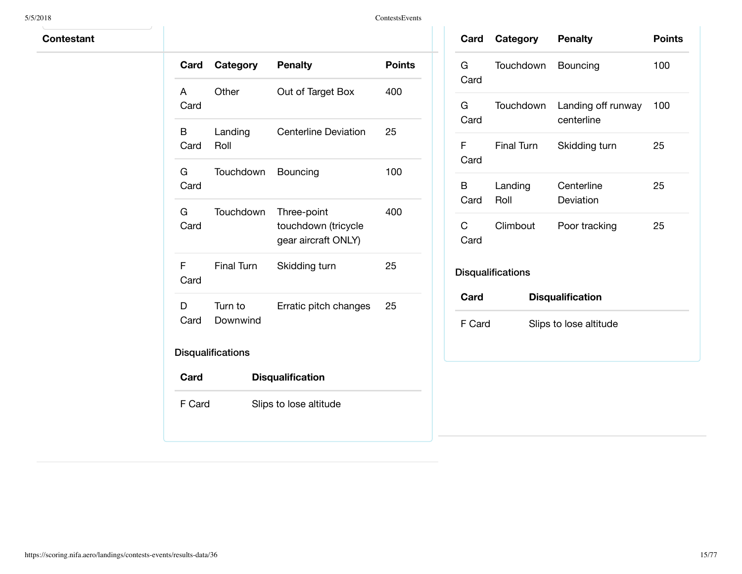5/5/2018 ContestsEvents

| Card       | Category                 | <b>Penalty</b>                                            | <b>Points</b> |
|------------|--------------------------|-----------------------------------------------------------|---------------|
| A<br>Card  | Other                    | Out of Target Box                                         | 400           |
| B<br>Card  | Landing<br>Roll          | <b>Centerline Deviation</b>                               | 25            |
| G<br>Card  | Touchdown                | Bouncing                                                  | 100           |
| G.<br>Card | Touchdown                | Three-point<br>touchdown (tricycle<br>gear aircraft ONLY) | 400           |
| F<br>Card  | <b>Final Turn</b>        | Skidding turn                                             | 25            |
| D<br>Card  | Turn to<br>Downwind      | Erratic pitch changes                                     | 25            |
|            | <b>Disqualifications</b> |                                                           |               |
| Card       |                          | <b>Disqualification</b>                                   |               |
| F Card     |                          | Slips to lose altitude                                    |               |

| Card                     | <b>Category Penalty</b> |                                  | <b>Points</b> |  |  |
|--------------------------|-------------------------|----------------------------------|---------------|--|--|
| G.<br>Card               | Touchdown               | Bouncing                         | 100           |  |  |
| G<br>Card                | Touchdown               | Landing off runway<br>centerline | 100           |  |  |
| F<br>Card                | <b>Final Turn</b>       | Skidding turn                    | 25            |  |  |
| В<br>Card                | Landing<br>Roll         | Centerline<br>Deviation          | 25            |  |  |
| C<br>Card                | Climbout                | Poor tracking                    | 25            |  |  |
| <b>Disqualifications</b> |                         |                                  |               |  |  |
| Card                     |                         | <b>Disqualification</b>          |               |  |  |
| F Card                   |                         | Slips to lose altitude           |               |  |  |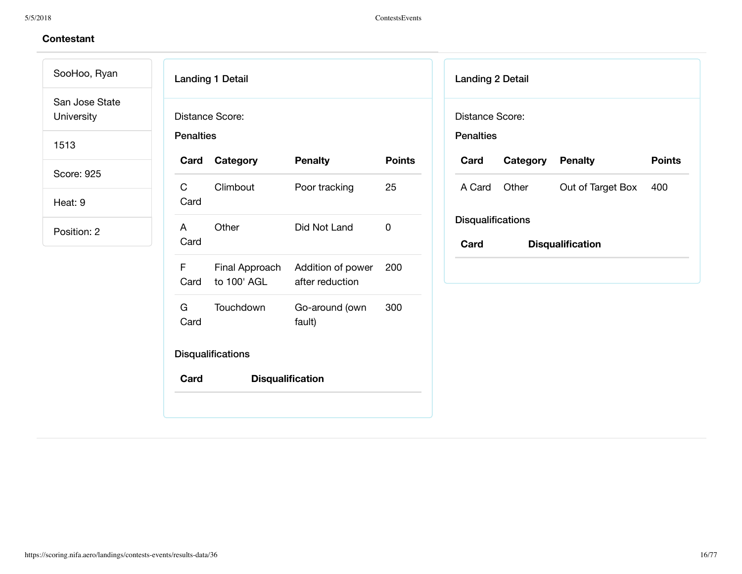# **Contestant**

SooHoo, Ryan San Jose State University

1513

Score: 925

Heat: 9

| Card                 | Category         | <b>Penalty</b>                                      | <b>Points</b> |
|----------------------|------------------|-----------------------------------------------------|---------------|
| $\mathsf{C}$<br>Card | Climbout         | Poor tracking                                       | 25            |
| $\mathsf{A}$<br>Card | Other            | Did Not Land                                        | O             |
| F.                   | Card to 100' AGL | Final Approach Addition of power<br>after reduction | 200           |
| G a<br>Card          | Touchdown        | Go-around (own<br>fault)                            | 300           |

| <b>Landing 2 Detail</b>             |                         |                         |               |  |
|-------------------------------------|-------------------------|-------------------------|---------------|--|
| Distance Score:<br><b>Penalties</b> |                         |                         |               |  |
| Card                                | <b>Category Penalty</b> |                         | <b>Points</b> |  |
| A Card                              | Other                   | Out of Target Box       | 400           |  |
| <b>Disqualifications</b>            |                         |                         |               |  |
| Card                                |                         | <b>Disqualification</b> |               |  |
|                                     |                         |                         |               |  |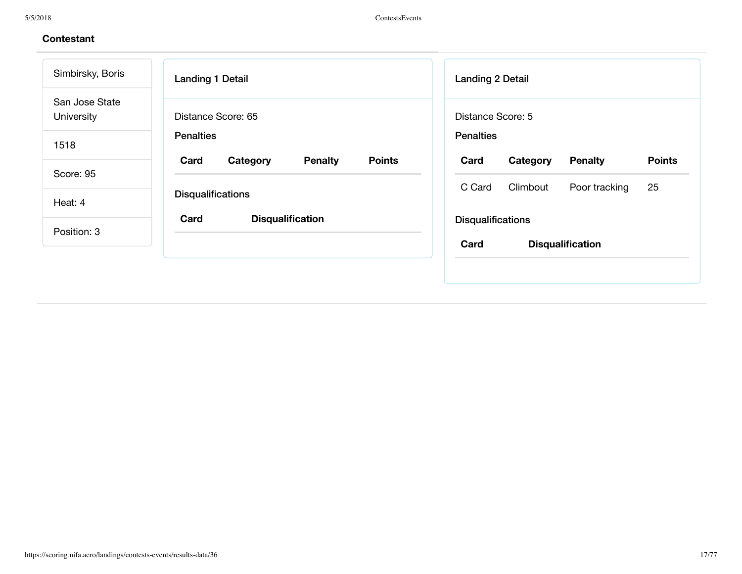| Simbirsky, Boris             | <b>Landing 1 Detail</b>                             | <b>Landing 2 Detail</b>                             |
|------------------------------|-----------------------------------------------------|-----------------------------------------------------|
| San Jose State<br>University | Distance Score: 65                                  | Distance Score: 5                                   |
| 1518                         | <b>Penalties</b>                                    | <b>Penalties</b>                                    |
|                              | <b>Points</b><br>Card<br><b>Penalty</b><br>Category | <b>Points</b><br>Card<br>Category<br><b>Penalty</b> |
| Score: 95                    |                                                     | Climbout<br>25<br>C Card<br>Poor tracking           |
| Heat: 4                      | <b>Disqualifications</b>                            |                                                     |
|                              | Card<br><b>Disqualification</b>                     | <b>Disqualifications</b>                            |
| Position: 3                  |                                                     | <b>Disqualification</b><br>Card                     |
|                              |                                                     |                                                     |
|                              |                                                     |                                                     |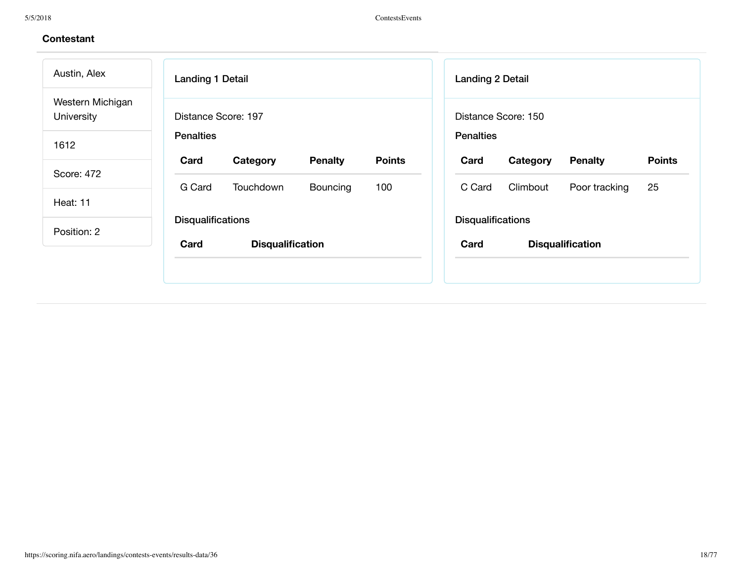| Austin, Alex                   | <b>Landing 1 Detail</b>                             | <b>Landing 2 Detail</b>                             |  |  |
|--------------------------------|-----------------------------------------------------|-----------------------------------------------------|--|--|
| Western Michigan<br>University | Distance Score: 197                                 | Distance Score: 150                                 |  |  |
| 1612                           | <b>Penalties</b>                                    | <b>Penalties</b>                                    |  |  |
|                                | <b>Points</b><br>Card<br>Category<br><b>Penalty</b> | <b>Points</b><br>Card<br>Category<br><b>Penalty</b> |  |  |
| Score: 472                     | G Card<br>100<br>Touchdown<br><b>Bouncing</b>       | 25<br>Climbout<br>C Card<br>Poor tracking           |  |  |
| Heat: 11                       |                                                     |                                                     |  |  |
| <b>Disqualifications</b>       |                                                     | <b>Disqualifications</b>                            |  |  |
| Position: 2                    | Card<br><b>Disqualification</b>                     | Card<br><b>Disqualification</b>                     |  |  |
|                                |                                                     |                                                     |  |  |
|                                |                                                     |                                                     |  |  |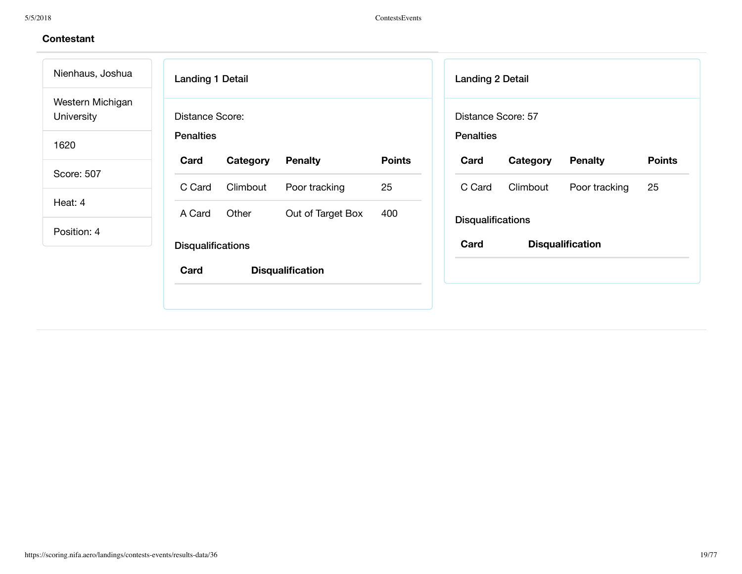| Nienhaus, Joshua                      | <b>Landing 1 Detail</b>              | <b>Landing 2 Detail</b>                             |
|---------------------------------------|--------------------------------------|-----------------------------------------------------|
| Western Michigan<br><b>University</b> | Distance Score:                      | Distance Score: 57                                  |
| 1620                                  | <b>Penalties</b>                     | <b>Penalties</b>                                    |
| Score: 507                            | Card<br><b>Penalty</b><br>Category   | <b>Points</b><br>Card<br>Category<br><b>Penalty</b> |
|                                       | C Card<br>Climbout<br>Poor tracking  | 25<br>Climbout<br>C Card<br>Poor tracking           |
| Heat: 4                               | Other<br>Out of Target Box<br>A Card | 400                                                 |
| Position: 4                           |                                      | <b>Disqualifications</b>                            |
|                                       | <b>Disqualifications</b>             | Card<br><b>Disqualification</b>                     |
|                                       | Card<br><b>Disqualification</b>      |                                                     |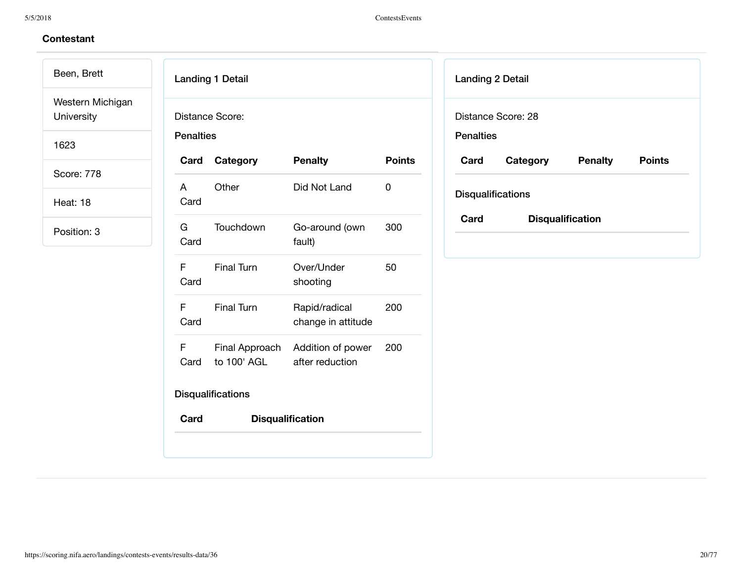Been, Brett Western Michigan University

1623

Score: 778

Heat: 18

| <b>Penalties</b> | Distance Score:               |                                      |               |
|------------------|-------------------------------|--------------------------------------|---------------|
| Card             | Category                      | <b>Penalty</b>                       | <b>Points</b> |
| A<br>Card        | Other                         | Did Not Land                         | 0             |
| G –<br>Card      | Touchdown                     | Go-around (own<br>fault)             | 300           |
| F.<br>Card       | <b>Final Turn</b>             | Over/Under<br>shooting               | 50            |
| F<br>Card        | <b>Final Turn</b>             | Rapid/radical<br>change in attitude  | 200           |
| F<br>Card        | Final Approach<br>to 100' AGL | Addition of power<br>after reduction | 200           |
|                  | <b>Disqualifications</b>      |                                      |               |
| Card             |                               | <b>Disqualification</b>              |               |

| <b>Landing 2 Detail</b>         |          |                |               |  |  |
|---------------------------------|----------|----------------|---------------|--|--|
| Distance Score: 28              |          |                |               |  |  |
| <b>Penalties</b>                |          |                |               |  |  |
| Card                            | Category | <b>Penalty</b> | <b>Points</b> |  |  |
| <b>Disqualifications</b>        |          |                |               |  |  |
| Card<br><b>Disqualification</b> |          |                |               |  |  |
|                                 |          |                |               |  |  |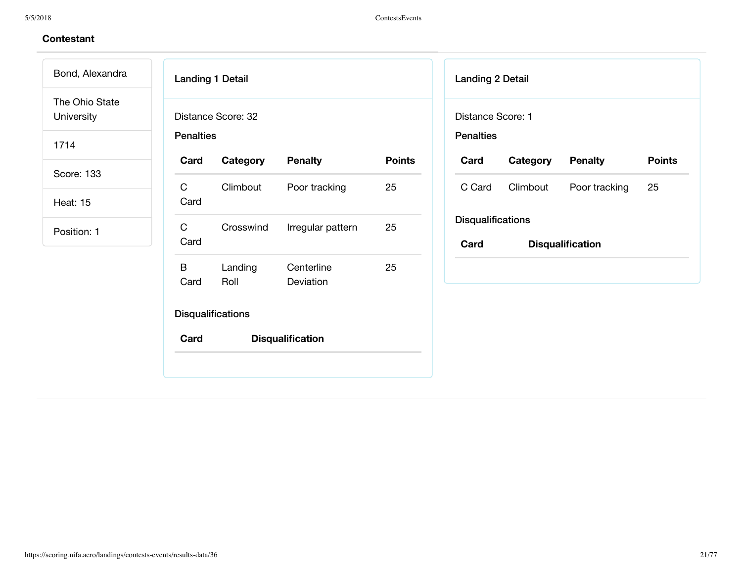# **Contestant**

Bond, Alexandra The Ohio State University

1714

Score: 133

Heat: 15

| <b>Landing 1 Detail</b>                |                 |                         |               |  |
|----------------------------------------|-----------------|-------------------------|---------------|--|
| Distance Score: 32<br><b>Penalties</b> |                 |                         |               |  |
| Card                                   | Category        | <b>Penalty</b>          | <b>Points</b> |  |
| C<br>Card                              | Climbout        | Poor tracking           | 25            |  |
| C<br>Card                              | Crosswind       | Irregular pattern       | 25            |  |
| B<br>Card                              | Landing<br>Roll | Centerline<br>Deviation | 25            |  |
| <b>Disqualifications</b>               |                 |                         |               |  |
| Card                                   |                 | <b>Disqualification</b> |               |  |
|                                        |                 |                         |               |  |

| <b>Landing 2 Detail</b>               |                         |               |               |  |
|---------------------------------------|-------------------------|---------------|---------------|--|
| Distance Score: 1<br><b>Penalties</b> |                         |               |               |  |
| Card                                  | <b>Category Penalty</b> |               | <b>Points</b> |  |
| C Card                                | Climbout                | Poor tracking | 25            |  |
| <b>Disqualifications</b>              |                         |               |               |  |
| Card                                  | <b>Disqualification</b> |               |               |  |
|                                       |                         |               |               |  |
|                                       |                         |               |               |  |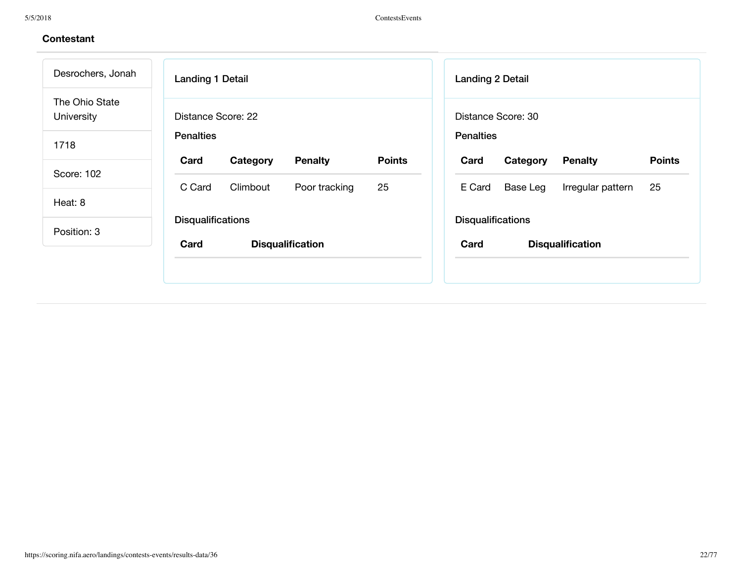| Desrochers, Jonah            | <b>Landing 1 Detail</b>                             | <b>Landing 2 Detail</b>                             |
|------------------------------|-----------------------------------------------------|-----------------------------------------------------|
| The Ohio State<br>University | Distance Score: 22                                  | Distance Score: 30                                  |
| 1718                         | <b>Penalties</b>                                    | <b>Penalties</b>                                    |
|                              | <b>Points</b><br>Card<br><b>Penalty</b><br>Category | <b>Points</b><br><b>Penalty</b><br>Card<br>Category |
| Score: 102                   | 25<br>C Card<br>Climbout<br>Poor tracking           | E Card<br>25<br>Base Leg<br>Irregular pattern       |
| Heat: 8                      |                                                     |                                                     |
| Position: 3                  | <b>Disqualifications</b>                            | <b>Disqualifications</b>                            |
|                              | Card<br><b>Disqualification</b>                     | Card<br><b>Disqualification</b>                     |
|                              |                                                     |                                                     |
|                              |                                                     |                                                     |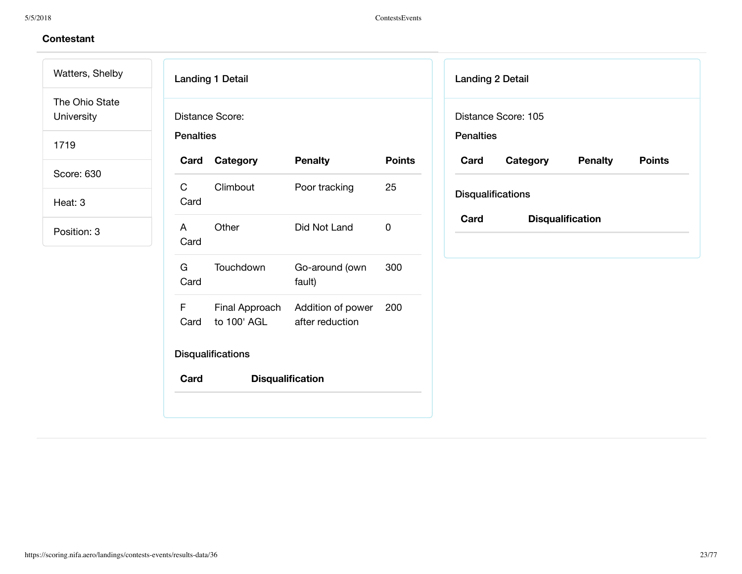Watters, Shelby The Ohio State University

1719

Score: 630

Heat: 3

| Card                   | Category                    | <b>Penalty</b>                   | <b>Points</b> |
|------------------------|-----------------------------|----------------------------------|---------------|
| $\mathsf{C}$<br>Card   | Climbout                    | Poor tracking                    | 25            |
| $\overline{A}$<br>Card | Other                       | Did Not Land                     | 0             |
| G –<br>Card            | Touchdown                   | Go-around (own<br>fault)         | 300           |
| F<br>Card              | to 100' AGL after reduction | Final Approach Addition of power | 200           |

| <b>Landing 2 Detail</b>         |          |                |               |  |  |
|---------------------------------|----------|----------------|---------------|--|--|
| Distance Score: 105             |          |                |               |  |  |
| <b>Penalties</b>                |          |                |               |  |  |
| Card                            | Category | <b>Penalty</b> | <b>Points</b> |  |  |
| <b>Disqualifications</b>        |          |                |               |  |  |
| Card<br><b>Disqualification</b> |          |                |               |  |  |
|                                 |          |                |               |  |  |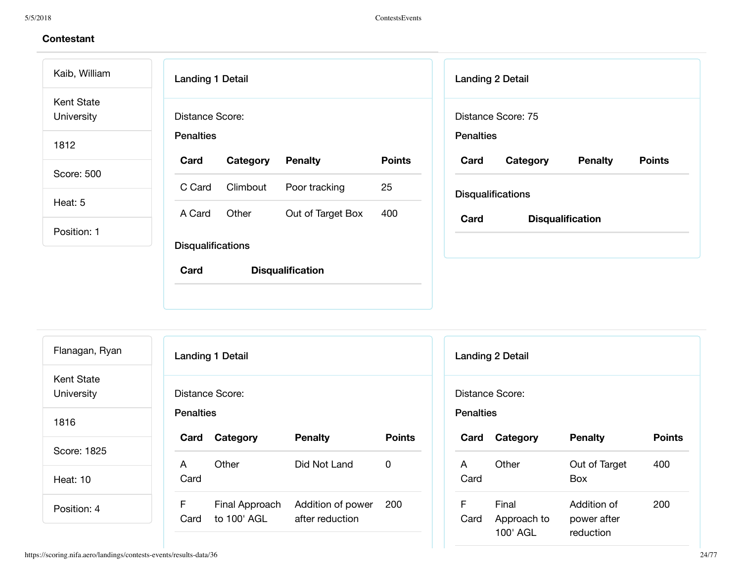| <b>Landing 1 Detail</b>  |                |                                              | <b>Landing 2 Detail</b> |          |                                                                                               |
|--------------------------|----------------|----------------------------------------------|-------------------------|----------|-----------------------------------------------------------------------------------------------|
| Distance Score:          |                |                                              |                         |          |                                                                                               |
| <b>Penalties</b>         |                |                                              |                         |          |                                                                                               |
| Card<br>Category         | <b>Penalty</b> | <b>Points</b>                                | Card                    | Category | <b>Penalty</b>                                                                                |
| Climbout<br>C Card       | Poor tracking  | 25                                           |                         |          |                                                                                               |
| Other<br>A Card          |                | 400                                          |                         |          |                                                                                               |
|                          |                |                                              |                         |          |                                                                                               |
| <b>Disqualifications</b> |                |                                              |                         |          |                                                                                               |
| Card                     |                |                                              |                         |          |                                                                                               |
|                          |                | Out of Target Box<br><b>Disqualification</b> |                         | Card     | Distance Score: 75<br><b>Penalties</b><br><b>Disqualifications</b><br><b>Disqualification</b> |

| Flanagan, Ryan                  |                  | <b>Landing 1 Detail</b> |                   |               |                  | <b>Landing 2 Detail</b> |                          |               |
|---------------------------------|------------------|-------------------------|-------------------|---------------|------------------|-------------------------|--------------------------|---------------|
| <b>Kent State</b><br>University |                  | Distance Score:         |                   |               |                  | Distance Score:         |                          |               |
| 1816                            | <b>Penalties</b> |                         |                   |               | <b>Penalties</b> |                         |                          |               |
|                                 |                  | Card Category           | <b>Penalty</b>    | <b>Points</b> | Card             | Category                | <b>Penalty</b>           | <b>Points</b> |
| Score: 1825                     | A                | Other                   | Did Not Land      | $\mathbf 0$   | A                | Other                   | Out of Target            | 400           |
| <b>Heat: 10</b>                 | Card             |                         |                   |               | Card             |                         | <b>Box</b>               |               |
| Position: 4                     | F                | Final Approach          | Addition of power | 200           | F                | Final                   | Addition of              | 200           |
|                                 | Card             | to 100' AGL             | after reduction   |               | Card             | Approach to<br>100' AGL | power after<br>reduction |               |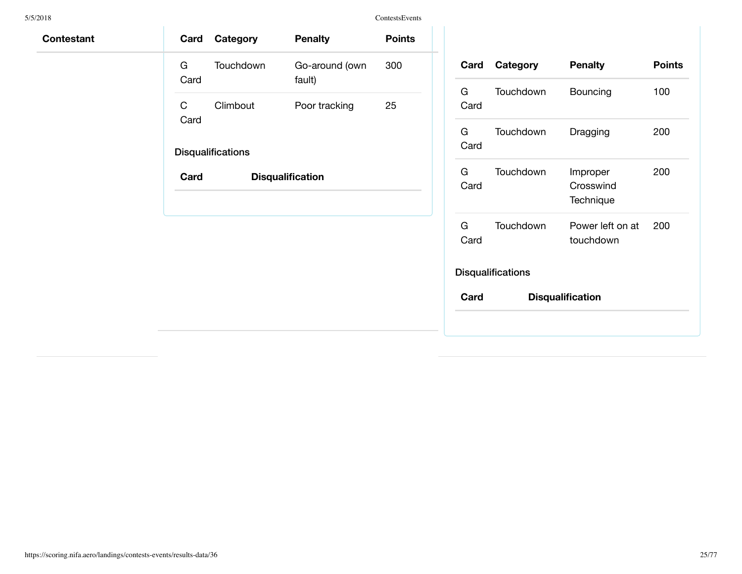| Contestant | Card      | Category                 | <b>Penalty</b>           | <b>Points</b> |           |      |                  |
|------------|-----------|--------------------------|--------------------------|---------------|-----------|------|------------------|
|            | G<br>Card | Touchdown                | Go-around (own<br>fault) | 300           |           | Card | Categ            |
|            | C         | Climbout                 | Poor tracking            | 25            | G<br>Card |      | <b>Touch</b>     |
|            | Card      | <b>Disqualifications</b> |                          |               | G<br>Card |      | <b>Touch</b>     |
|            | Card      |                          | <b>Disqualification</b>  |               | G<br>Card |      | <b>Touch</b>     |
|            |           |                          |                          |               | G<br>Card |      | <b>Touch</b>     |
|            |           |                          |                          |               |           |      | Disqualificatior |
|            |           |                          |                          |               | Card      |      |                  |
|            |           |                          |                          |               |           |      |                  |

| Card       | Category                 | <b>Penalty</b>                     | <b>Points</b> |  |  |
|------------|--------------------------|------------------------------------|---------------|--|--|
| G.<br>Card | Touchdown                | Bouncing                           | 100           |  |  |
| G.<br>Card | Touchdown                | Dragging                           | 200           |  |  |
| G.<br>Card | Touchdown                | Improper<br>Crosswind<br>Technique | 200           |  |  |
| G<br>Card  | Touchdown                | Power left on at<br>touchdown      | 200           |  |  |
|            | <b>Disqualifications</b> |                                    |               |  |  |
| Card       |                          | <b>Disqualification</b>            |               |  |  |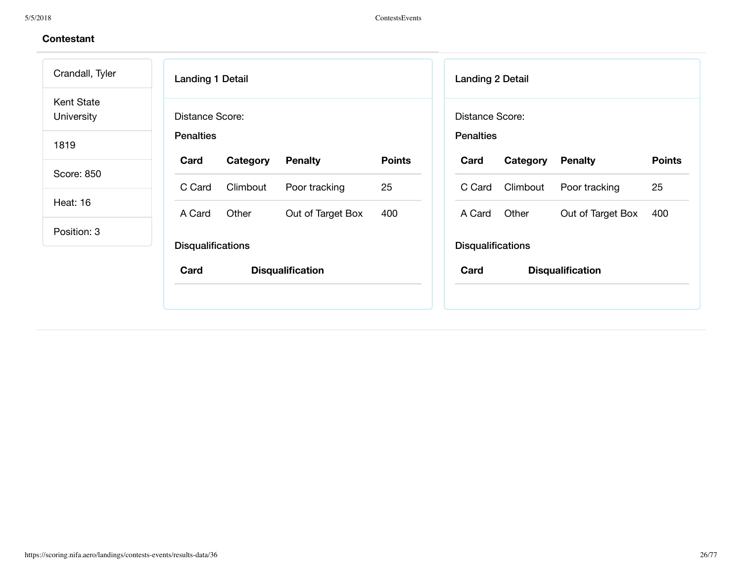| Crandall, Tyler          | <b>Landing 1 Detail</b>  |                         |               | <b>Landing 2 Detail</b>  |          |                         |               |
|--------------------------|--------------------------|-------------------------|---------------|--------------------------|----------|-------------------------|---------------|
| Kent State<br>University | Distance Score:          |                         |               | Distance Score:          |          |                         |               |
| 1819                     | <b>Penalties</b>         |                         |               | <b>Penalties</b>         |          |                         |               |
|                          | Card<br>Category         | <b>Penalty</b>          | <b>Points</b> | Card                     | Category | <b>Penalty</b>          | <b>Points</b> |
| Score: 850               | Climbout<br>C Card       | Poor tracking           | 25            | C Card                   | Climbout | Poor tracking           | 25            |
| Heat: 16                 | Other<br>A Card          | Out of Target Box       | 400           | A Card                   | Other    | Out of Target Box       | 400           |
| Position: 3              |                          |                         |               |                          |          |                         |               |
|                          | <b>Disqualifications</b> |                         |               | <b>Disqualifications</b> |          |                         |               |
|                          | Card                     | <b>Disqualification</b> |               | Card                     |          | <b>Disqualification</b> |               |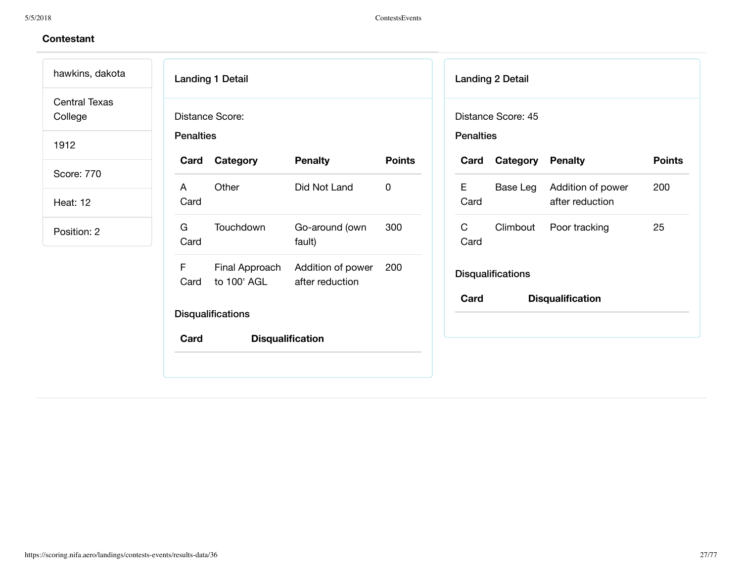Landing 1 Detail Distance Score: **Penalties Card Category Penalty Points** A Card Other Did Not Land 0 G Card Touchdown Go-around (own fault) 300 F Card Final Approach to 100' AGL Addition of power after reduction 200 **Disqualifications Card Disqualification** Landing 2 Detail Distance Score: 45 **Penalties** E Card C Card **Disqualifications** hawkins, dakota Central Texas College 1912 Score: 770 Heat: 12 Position: 2

**Card Category Penalty Points** Base Leg Addition of power after reduction 200 Climbout Poor tracking 25 **Card Disqualification**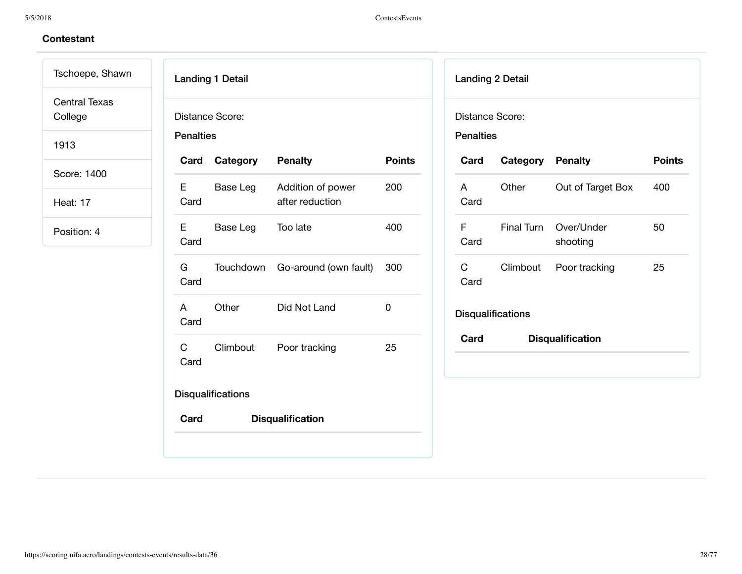# **Contestant**

Tschoepe, Shawn Central Texas

College

1913

Score: 1400

Heat: 17

| Card       | <b>Penalties</b> |                                      |               |
|------------|------------------|--------------------------------------|---------------|
|            | Category         | <b>Penalty</b>                       | <b>Points</b> |
| E.<br>Card | Base Leg         | Addition of power<br>after reduction | 200           |
| Е<br>Card  | Base Leg         | Too late                             | 400           |
| G<br>Card  | Touchdown        | Go-around (own fault)                | 300           |
| A<br>Card  | Other            | Did Not Land                         | 0             |
| C<br>Card  | Climbout         | Poor tracking                        | 25            |

| <b>Landing 2 Detail</b>             |                         |                         |               |
|-------------------------------------|-------------------------|-------------------------|---------------|
| Distance Score:<br><b>Penalties</b> |                         |                         |               |
| Card                                | <b>Category Penalty</b> |                         | <b>Points</b> |
| A<br>Card                           | Other                   | Out of Target Box       | 400           |
| F<br>Card                           | Final Turn              | Over/Under<br>shooting  | 50            |
| C<br>Card                           |                         | Climbout Poor tracking  | 25            |
| <b>Disqualifications</b>            |                         |                         |               |
| Card                                |                         | <b>Disqualification</b> |               |
|                                     |                         |                         |               |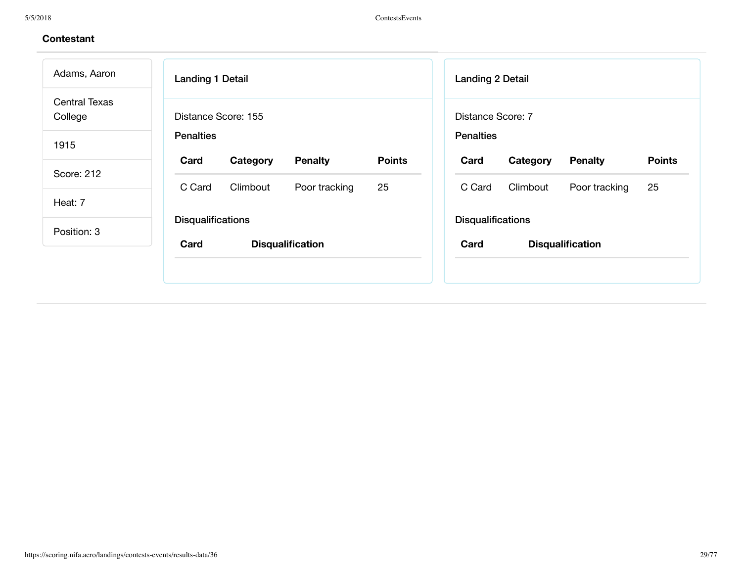| Adams, Aaron                    | <b>Landing 1 Detail</b>                             | <b>Landing 2 Detail</b>                             |
|---------------------------------|-----------------------------------------------------|-----------------------------------------------------|
| <b>Central Texas</b><br>College | Distance Score: 155                                 | Distance Score: 7                                   |
| 1915                            | <b>Penalties</b>                                    | <b>Penalties</b>                                    |
|                                 | <b>Points</b><br>Card<br><b>Penalty</b><br>Category | <b>Points</b><br>Card<br>Category<br><b>Penalty</b> |
| Score: 212                      | 25<br>C Card<br>Climbout<br>Poor tracking           | Climbout<br>25<br>C Card<br>Poor tracking           |
| Heat: 7                         |                                                     |                                                     |
| Position: 3                     | <b>Disqualifications</b>                            | <b>Disqualifications</b>                            |
|                                 | Card<br><b>Disqualification</b>                     | Card<br><b>Disqualification</b>                     |
|                                 |                                                     |                                                     |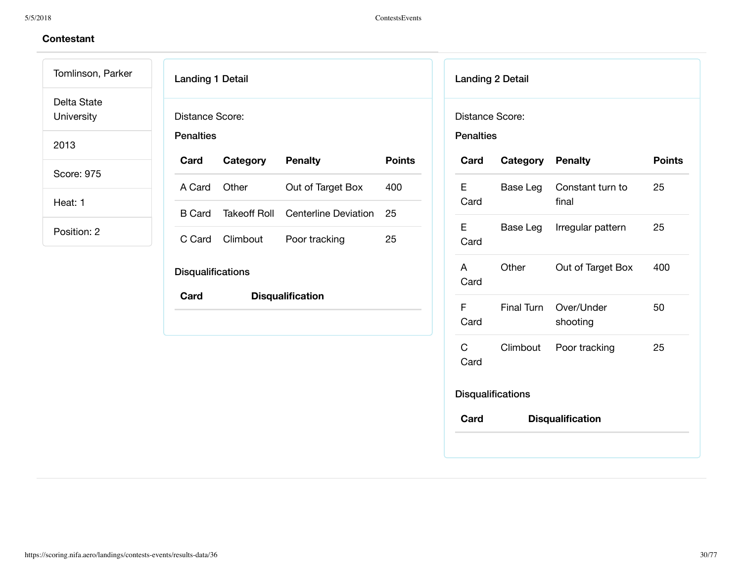# **Contestant**

Tomlinson, Parker Delta State

University

2013

Score: 975

Heat: 1

| <b>Landing 1 Detail</b>             |                 |                         |               |
|-------------------------------------|-----------------|-------------------------|---------------|
| Distance Score:<br><b>Penalties</b> |                 |                         |               |
| Card                                | Category        | <b>Penalty</b>          | <b>Points</b> |
| A Card                              | Other           | Out of Target Box       | 400           |
| B Card                              | Takeoff Roll    | Centerline Deviation    | 25            |
|                                     | C Card Climbout | Poor tracking           | 25            |
| <b>Disqualifications</b>            |                 |                         |               |
| Card                                |                 | <b>Disqualification</b> |               |
|                                     |                 |                         |               |

| Distance Score:<br><b>Penalties</b> |                          |                           |               |
|-------------------------------------|--------------------------|---------------------------|---------------|
| Card                                | <b>Category Penalty</b>  |                           | <b>Points</b> |
| E<br>Card                           | Base Leg                 | Constant turn to<br>final | 25            |
| E<br>Card                           | Base Leg                 | Irregular pattern         | 25            |
| A<br>Card                           | Other                    | Out of Target Box         | 400           |
| F<br>Card                           | <b>Final Turn</b>        | Over/Under<br>shooting    | 50            |
| $\mathsf{C}$<br>Card                | Climbout                 | Poor tracking             | 25            |
|                                     | <b>Disqualifications</b> |                           |               |
| Card                                |                          | <b>Disqualification</b>   |               |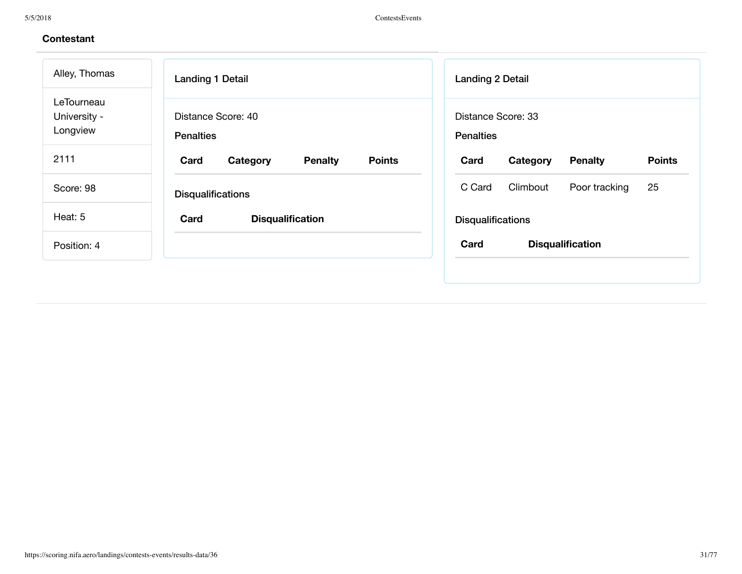| Alley, Thomas                          | <b>Landing 1 Detail</b>                             | <b>Landing 2 Detail</b>                             |
|----------------------------------------|-----------------------------------------------------|-----------------------------------------------------|
| LeTourneau<br>University -<br>Longview | Distance Score: 40<br><b>Penalties</b>              | Distance Score: 33<br><b>Penalties</b>              |
| 2111                                   | <b>Points</b><br>Card<br>Category<br><b>Penalty</b> | <b>Points</b><br>Card<br>Category<br><b>Penalty</b> |
| Score: 98                              | <b>Disqualifications</b>                            | Climbout<br>25<br>C Card<br>Poor tracking           |
| Heat: 5                                | Card<br><b>Disqualification</b>                     | <b>Disqualifications</b>                            |
| Position: 4                            |                                                     | Card<br><b>Disqualification</b>                     |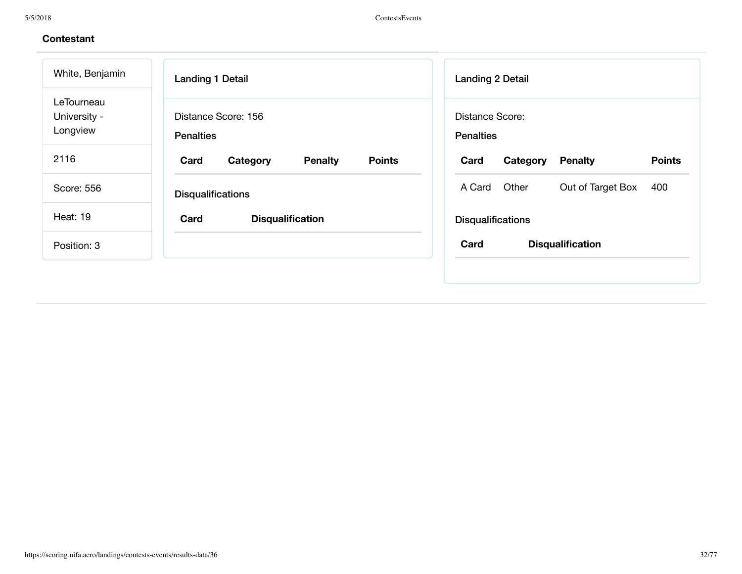| White, Benjamin                        | <b>Landing 1 Detail</b>                             | <b>Landing 2 Detail</b>                             |
|----------------------------------------|-----------------------------------------------------|-----------------------------------------------------|
| LeTourneau<br>University -<br>Longview | Distance Score: 156<br><b>Penalties</b>             | Distance Score:<br><b>Penalties</b>                 |
| 2116                                   | <b>Points</b><br>Card<br>Category<br><b>Penalty</b> | <b>Points</b><br><b>Penalty</b><br>Card<br>Category |
| Score: 556                             | <b>Disqualifications</b>                            | Other<br>Out of Target Box<br>400<br>A Card         |
| <b>Heat: 19</b>                        | Card<br><b>Disqualification</b>                     | <b>Disqualifications</b>                            |
| Position: 3                            |                                                     | Card<br><b>Disqualification</b>                     |
|                                        |                                                     |                                                     |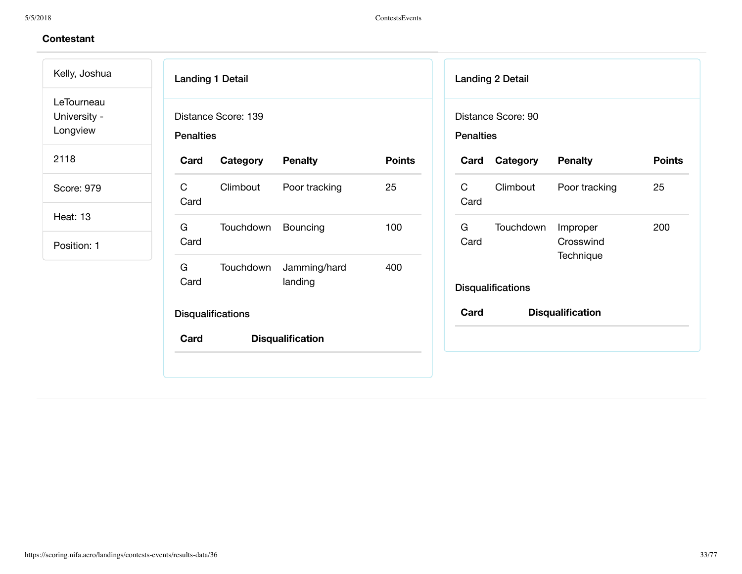Kelly, Joshua LeTourneau University -

Longview

2118

Score: 979

Heat: 13

| <b>Penalties</b> | Distance Score: 139      |                         |               |
|------------------|--------------------------|-------------------------|---------------|
| Card             | <b>Category</b> Penalty  |                         | <b>Points</b> |
| C.<br>Card       | Climbout                 | Poor tracking           | 25            |
| G<br>Card        | Touchdown Bouncing       |                         | 100           |
| G<br>Card        | Touchdown                | Jamming/hard<br>landing | 400           |
|                  | <b>Disqualifications</b> |                         |               |

| <b>Landing 2 Detail</b> |                          |                                    |               |  |
|-------------------------|--------------------------|------------------------------------|---------------|--|
| <b>Penalties</b>        | Distance Score: 90       |                                    |               |  |
| Card                    | Category                 | <b>Penalty</b>                     | <b>Points</b> |  |
| C<br>Card               | Climbout                 | Poor tracking                      | 25            |  |
| G a<br>Card             | Touchdown                | Improper<br>Crosswind<br>Technique | 200           |  |
|                         | <b>Disqualifications</b> |                                    |               |  |
| Card                    | <b>Disqualification</b>  |                                    |               |  |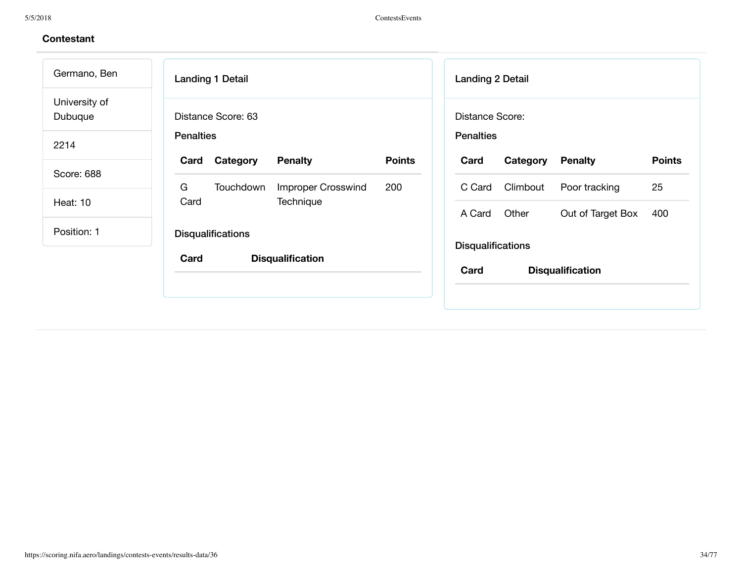| Germano, Ben             | Landing 1 Detail                                                        | <b>Landing 2 Detail</b>                             |  |  |
|--------------------------|-------------------------------------------------------------------------|-----------------------------------------------------|--|--|
| University of<br>Dubuque | Distance Score: 63                                                      | Distance Score:                                     |  |  |
| 2214                     | <b>Penalties</b>                                                        | <b>Penalties</b>                                    |  |  |
| Score: 688               | <b>Points</b><br>Category<br><b>Penalty</b><br>Card                     | Category<br><b>Points</b><br>Card<br><b>Penalty</b> |  |  |
| <b>Heat: 10</b>          | G<br><b>Improper Crosswind</b><br>200<br>Touchdown<br>Technique<br>Card | 25<br>Climbout<br>C Card<br>Poor tracking           |  |  |
|                          |                                                                         | Other<br>Out of Target Box<br>400<br>A Card         |  |  |
| Position: 1              | <b>Disqualifications</b>                                                | <b>Disqualifications</b>                            |  |  |
|                          | Card<br><b>Disqualification</b>                                         | Card<br><b>Disqualification</b>                     |  |  |
|                          |                                                                         |                                                     |  |  |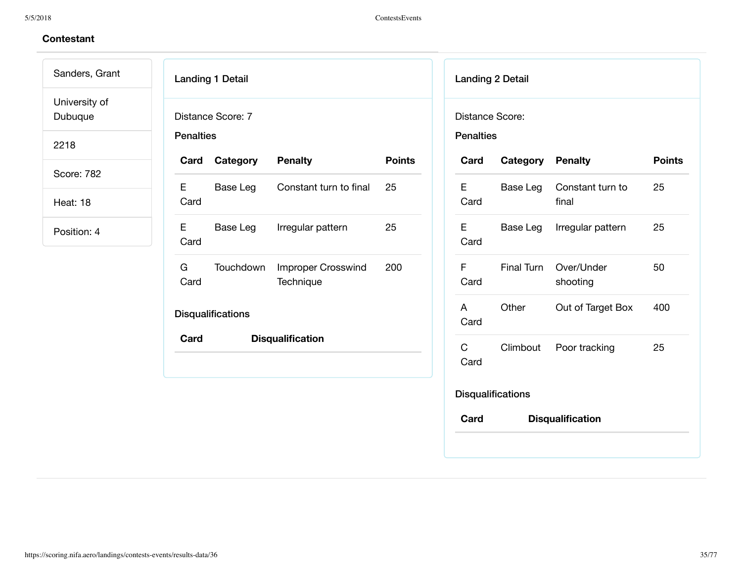# **Contestant**

Sanders, Grant University of

Dubuque

2218

Score: 782

Heat: 18

|                  | <b>Landing 1 Detail</b>  |                                 |               |
|------------------|--------------------------|---------------------------------|---------------|
| <b>Penalties</b> | Distance Score: 7        |                                 |               |
|                  | <b>Card Category</b>     | <b>Penalty</b>                  | <b>Points</b> |
| Е<br>Card        | Base Leg                 | Constant turn to final          | 25            |
| Е<br>Card        | Base Leg                 | Irregular pattern               | 25            |
| G.<br>Card       | Touchdown                | Improper Crosswind<br>Technique | 200           |
|                  | <b>Disqualifications</b> |                                 |               |
| Card             |                          | <b>Disqualification</b>         |               |
|                  |                          |                                 |               |

| <b>Distance Score:</b><br><b>Penalties</b> |                          |                           |               |
|--------------------------------------------|--------------------------|---------------------------|---------------|
| Card                                       | <b>Category Penalty</b>  |                           | <b>Points</b> |
| E<br>Card                                  | Base Leg                 | Constant turn to<br>final | 25            |
| Е<br>Card                                  | Base Leg                 | Irregular pattern         | 25            |
| F<br>Card                                  | Final Turn               | Over/Under<br>shooting    | 50            |
| A<br>Card                                  | Other                    | Out of Target Box         | 400           |
| C<br>Card                                  | Climbout                 | Poor tracking             | 25            |
|                                            | <b>Disqualifications</b> |                           |               |
| Card                                       |                          | <b>Disqualification</b>   |               |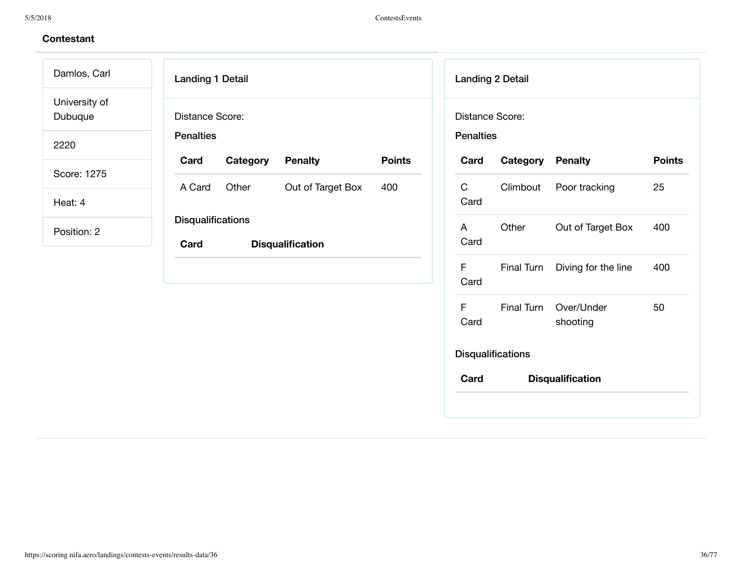### **Contestant**

Landing 1 Detail Distance Score: **Penalties Card Category Penalty Points** A Card Other Out of Target Box 400 **Disqualifications Card Disqualification** Landing 2 Detail Distance Score: **Penalties Card Category Penalty Points** C Card Climbout Poor tracking 25 A Card Other Out of Target Box 400 F Card Final Turn Diving for the line 400 F Card Final Turn Over/Under shooting **Disqualifications Card Disqualification** Damlos, Carl University of Dubuque 2220 Score: 1275 Heat: 4 Position: 2

50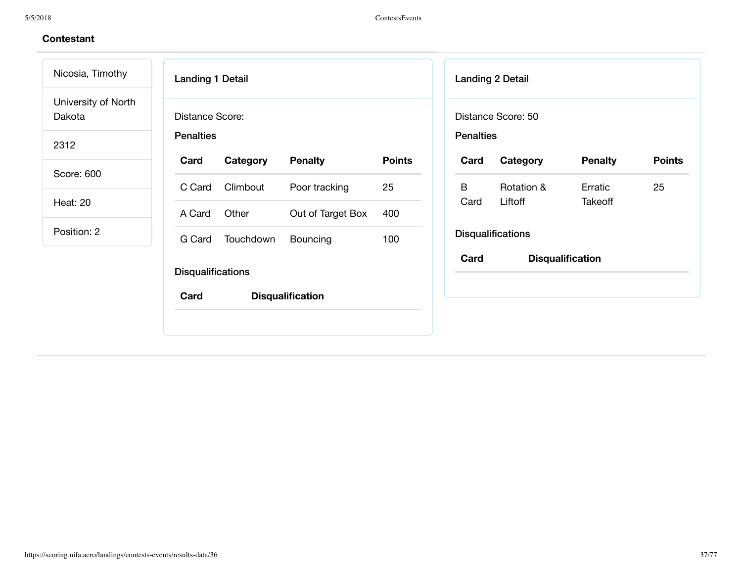| Nicosia, Timothy              | <b>Landing 1 Detail</b>          |           |                         |               |                  | <b>Landing 2 Detail</b>  |                         |
|-------------------------------|----------------------------------|-----------|-------------------------|---------------|------------------|--------------------------|-------------------------|
| University of North<br>Dakota | <b>Distance Score:</b>           |           |                         |               |                  | Distance Score: 50       |                         |
| 2312                          | <b>Penalties</b>                 |           |                         |               | <b>Penalties</b> |                          |                         |
| Score: 600                    | Card                             | Category  | <b>Penalty</b>          | <b>Points</b> | Card             | Category                 | <b>Penalty</b>          |
|                               | C Card                           | Climbout  | Poor tracking           | 25            | B                | Rotation &               | Erratic                 |
| Heat: 20                      | A Card                           | Other     | Out of Target Box       | 400           | Card             | Liftoff                  | <b>Takeoff</b>          |
| Position: 2                   | G Card                           | Touchdown | Bouncing                | 100           |                  | <b>Disqualifications</b> |                         |
|                               | <b>Disqualifications</b><br>Card |           | <b>Disqualification</b> |               | Card             |                          | <b>Disqualification</b> |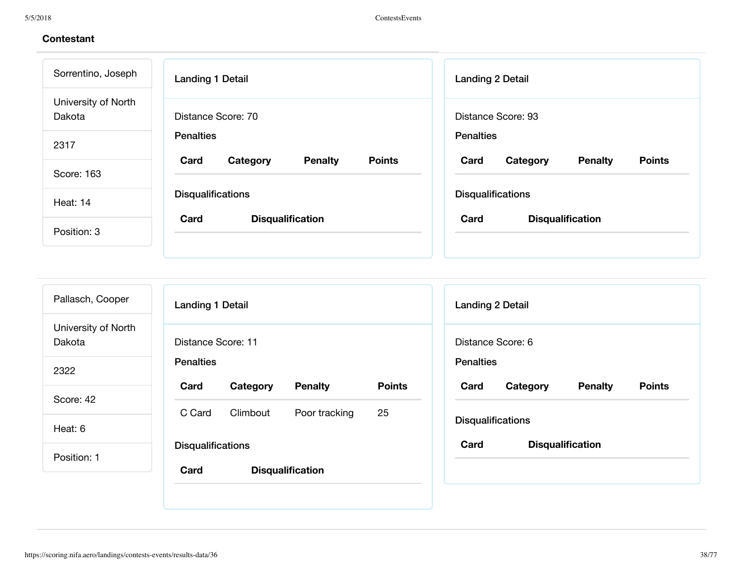| <b>Landing 1 Detail</b>  | <b>Landing 2 Detail</b>                                                                |  |  |
|--------------------------|----------------------------------------------------------------------------------------|--|--|
| Distance Score: 70       | Distance Score: 93                                                                     |  |  |
| <b>Penalties</b>         | <b>Penalties</b>                                                                       |  |  |
|                          | <b>Points</b><br>Card<br>Category<br><b>Penalty</b>                                    |  |  |
| <b>Disqualifications</b> | <b>Disqualifications</b>                                                               |  |  |
|                          | Card<br><b>Disqualification</b>                                                        |  |  |
|                          | <b>Points</b><br>Card<br><b>Penalty</b><br>Category<br>Card<br><b>Disqualification</b> |  |  |

| Pallasch, Cooper              | <b>Landing 1 Detail</b>                                                         | <b>Landing 2 Detail</b>         |
|-------------------------------|---------------------------------------------------------------------------------|---------------------------------|
| University of North<br>Dakota | Distance Score: 11                                                              | Distance Score: 6               |
| 2322                          | <b>Penalties</b>                                                                | <b>Penalties</b>                |
| Score: 42                     | <b>Points</b><br><b>Penalty</b><br>Card<br>Category<br>C Card<br>Climbout<br>25 | Card<br>Category<br>Pena        |
| Heat: 6                       | Poor tracking                                                                   | <b>Disqualifications</b>        |
| Position: 1                   | <b>Disqualifications</b><br>Card<br><b>Disqualification</b>                     | Card<br><b>Disqualification</b> |

**Card Category Penalty Points**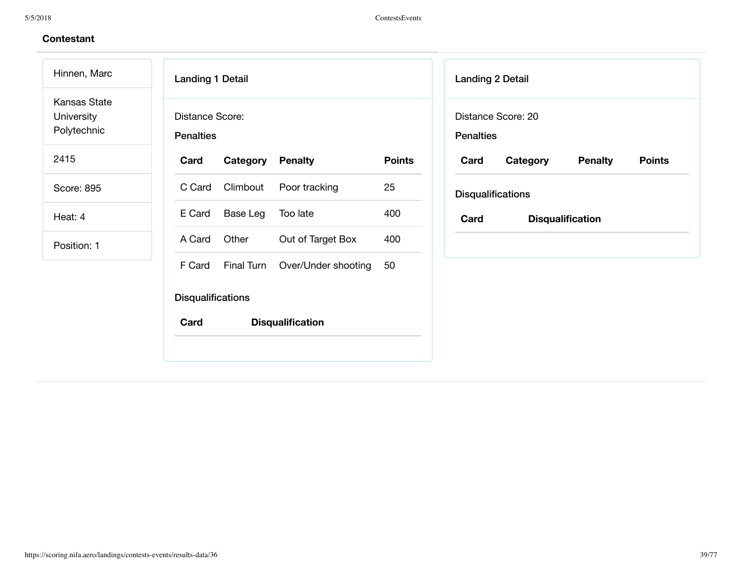Hinnen, Marc Kansas State University

Polytechnic

2415

Score: 895

Heat: 4

| <b>Landing 1 Detail</b>  |                 |                                       |               |
|--------------------------|-----------------|---------------------------------------|---------------|
| Distance Score:          |                 |                                       |               |
| <b>Penalties</b>         |                 |                                       |               |
| Card                     | Category        | <b>Penalty</b>                        | <b>Points</b> |
|                          | C Card Climbout | Poor tracking                         | 25            |
| E Card                   | Base Leg        | Too late                              | 400           |
| A Card                   | Other           | Out of Target Box                     | 400           |
|                          |                 | F Card Final Turn Over/Under shooting | 50            |
| <b>Disqualifications</b> |                 |                                       |               |
| Card                     |                 | <b>Disqualification</b>               |               |

| <b>Landing 2 Detail</b> |                          |                |               |  |  |  |
|-------------------------|--------------------------|----------------|---------------|--|--|--|
| <b>Penalties</b>        | Distance Score: 20       |                |               |  |  |  |
| Card                    | Category                 | <b>Penalty</b> | <b>Points</b> |  |  |  |
|                         | <b>Disqualifications</b> |                |               |  |  |  |
| Card                    | <b>Disqualification</b>  |                |               |  |  |  |
|                         |                          |                |               |  |  |  |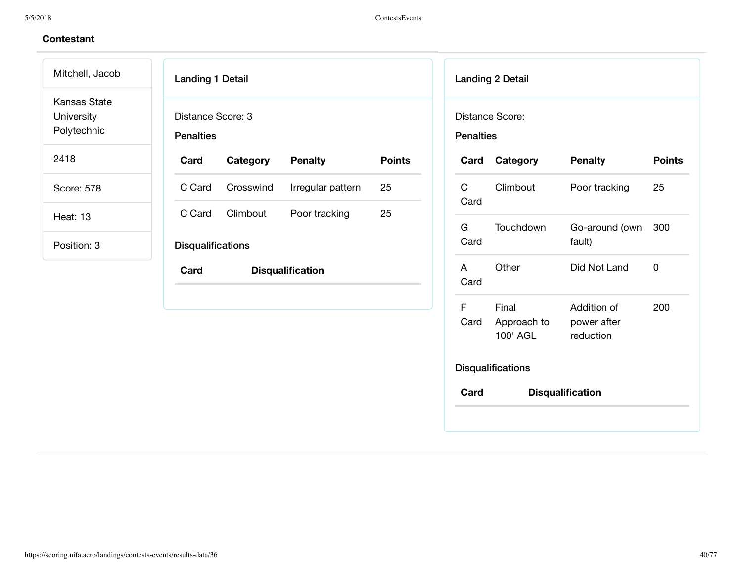Mitchell, Jacob Kansas State University Polytechnic

2418

Score: 578

Heat: 13

| <b>Landing 1 Detail</b>               |           |                         |               |
|---------------------------------------|-----------|-------------------------|---------------|
| Distance Score: 3<br><b>Penalties</b> |           |                         |               |
| Card                                  | Category  | <b>Penalty</b>          | <b>Points</b> |
| C Card                                | Crosswind | Irregular pattern       | 25            |
| C Card                                | Climbout  | Poor tracking           | 25            |
| <b>Disqualifications</b>              |           |                         |               |
| Card                                  |           | <b>Disqualification</b> |               |
|                                       |           |                         |               |
|                                       |           |                         |               |
|                                       |           |                         |               |

| <b>Penalties</b> | Distance Score:                  |                                         |               |
|------------------|----------------------------------|-----------------------------------------|---------------|
| Card             | Category                         | <b>Penalty</b>                          | <b>Points</b> |
| C<br>Card        | Climbout                         | Poor tracking                           | 25            |
| G.<br>Card       | Touchdown                        | Go-around (own<br>fault)                | 300           |
| A<br>Card        | Other                            | Did Not Land                            | 0             |
| F<br>Card        | Final<br>Approach to<br>100' AGL | Addition of<br>power after<br>reduction | 200           |
|                  | <b>Disqualifications</b>         |                                         |               |
| Card             |                                  | <b>Disqualification</b>                 |               |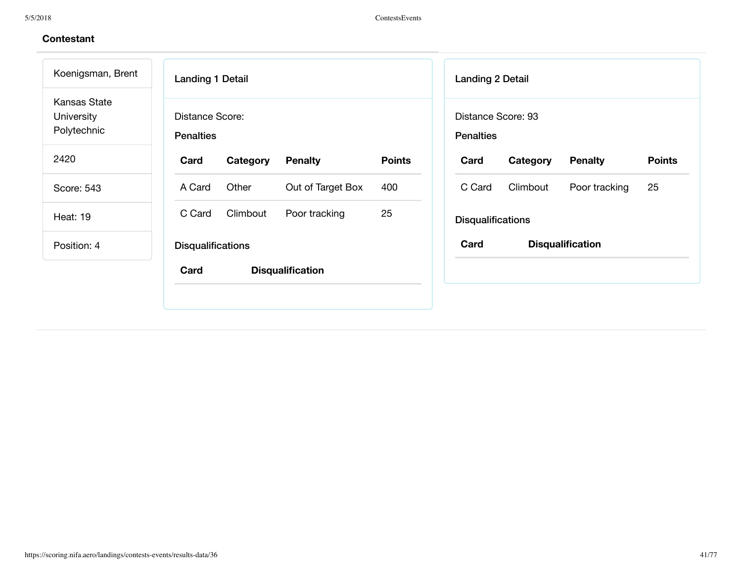5/5/2018 ContestsEvents

| Koenigsman, Brent                                | <b>Landing 1 Detail</b>              |               | <b>Landing 2 Detail</b>                |          |                         |               |
|--------------------------------------------------|--------------------------------------|---------------|----------------------------------------|----------|-------------------------|---------------|
| <b>Kansas State</b><br>University<br>Polytechnic | Distance Score:<br><b>Penalties</b>  |               | Distance Score: 93<br><b>Penalties</b> |          |                         |               |
| 2420                                             | Card<br>Category<br><b>Penalty</b>   | <b>Points</b> | Card                                   | Category | <b>Penalty</b>          | <b>Points</b> |
| Score: 543                                       | Other<br>Out of Target Box<br>A Card | 400           | C Card                                 | Climbout | Poor tracking           | 25            |
| <b>Heat: 19</b>                                  | Climbout<br>C Card<br>Poor tracking  | 25            | <b>Disqualifications</b>               |          |                         |               |
| Position: 4                                      | <b>Disqualifications</b>             |               | Card                                   |          | <b>Disqualification</b> |               |
|                                                  | Card<br><b>Disqualification</b>      |               |                                        |          |                         |               |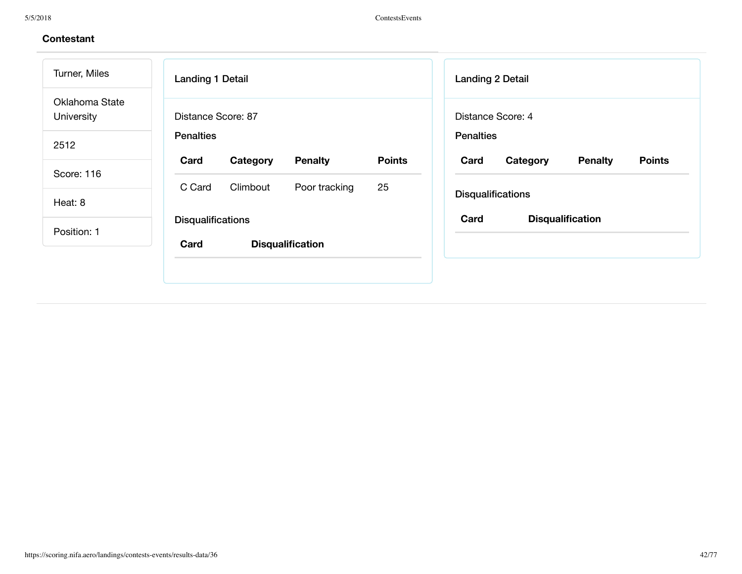| Turner, Miles                | <b>Landing 1 Detail</b>                             | <b>Landing 2 Detail</b>                             |
|------------------------------|-----------------------------------------------------|-----------------------------------------------------|
| Oklahoma State<br>University | Distance Score: 87                                  | Distance Score: 4                                   |
| 2512                         | <b>Penalties</b>                                    | <b>Penalties</b>                                    |
| Score: 116                   | <b>Penalty</b><br><b>Points</b><br>Card<br>Category | <b>Points</b><br>Card<br>Category<br><b>Penalty</b> |
|                              | 25<br>Climbout<br>Poor tracking<br>C Card           | <b>Disqualifications</b>                            |
| Heat: 8                      |                                                     |                                                     |
| Position: 1                  | <b>Disqualifications</b>                            | Card<br><b>Disqualification</b>                     |
|                              | Card<br><b>Disqualification</b>                     |                                                     |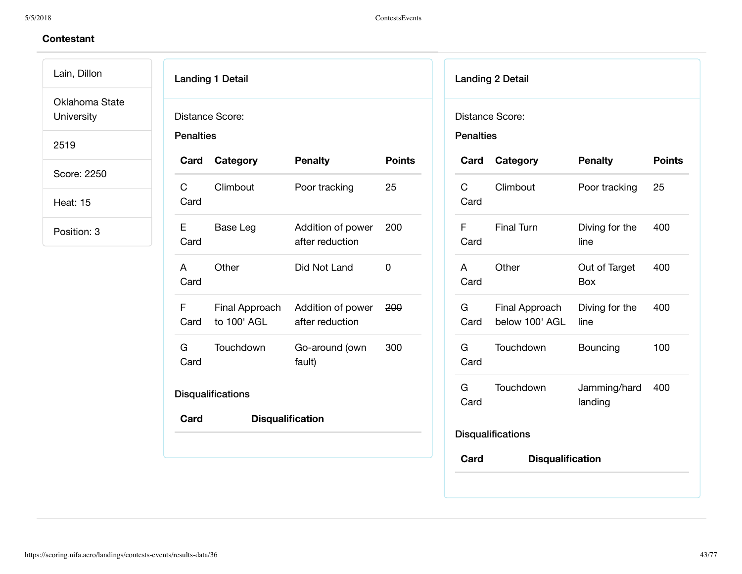Lain, Dillon Oklahoma State

University

2519

Score: 2250

Heat: 15

| Distance Score:<br><b>Penalties</b> |                          |                                                     |               |  |  |  |
|-------------------------------------|--------------------------|-----------------------------------------------------|---------------|--|--|--|
|                                     | Card Category            | <b>Penalty</b>                                      | <b>Points</b> |  |  |  |
| $\mathsf C$ and $\mathsf C$<br>Card | Climbout                 | Poor tracking                                       | 25            |  |  |  |
| E.<br>Card                          | Base Leg                 | Addition of power<br>after reduction                | 200           |  |  |  |
| A<br>Card                           | Other                    | Did Not Land                                        | $\Omega$      |  |  |  |
| F.<br>Card                          | to 100' AGL              | Final Approach Addition of power<br>after reduction | 200           |  |  |  |
| G<br>Card                           | Touchdown                | Go-around (own<br>fault)                            | 300           |  |  |  |
|                                     | <b>Disqualifications</b> |                                                     |               |  |  |  |
| Card                                |                          | <b>Disqualification</b>                             |               |  |  |  |

|                                            | <b>Landing 2 Detail</b>          |                             |               |  |  |  |
|--------------------------------------------|----------------------------------|-----------------------------|---------------|--|--|--|
| <b>Distance Score:</b><br><b>Penalties</b> |                                  |                             |               |  |  |  |
|                                            | Card Category                    | <b>Penalty</b>              | <b>Points</b> |  |  |  |
| Card                                       | C Climbout                       | Poor tracking               | 25            |  |  |  |
| F<br>Card                                  | <b>Final Turn</b>                | Diving for the<br>line      | 400           |  |  |  |
| Card                                       | A Other                          | Out of Target<br><b>Box</b> | 400           |  |  |  |
| G a<br>Card                                | Final Approach<br>below 100' AGL | Diving for the<br>line      | 400           |  |  |  |
| G –<br>Card                                | Touchdown                        | Bouncing                    | 100           |  |  |  |
| G<br>Card                                  | Touchdown                        | Jamming/hard<br>landing     | 400           |  |  |  |
|                                            | <b>Disqualifications</b>         |                             |               |  |  |  |
| Card                                       | <b>Disqualification</b>          |                             |               |  |  |  |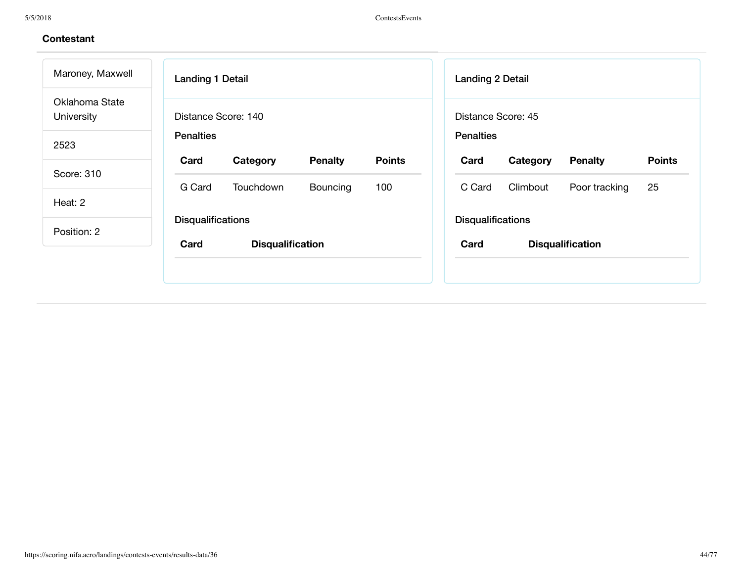| Maroney, Maxwell             | <b>Landing 1 Detail</b>                             | <b>Landing 2 Detail</b>                             |
|------------------------------|-----------------------------------------------------|-----------------------------------------------------|
| Oklahoma State<br>University | Distance Score: 140                                 | Distance Score: 45                                  |
| 2523                         | <b>Penalties</b>                                    | <b>Penalties</b>                                    |
|                              | <b>Points</b><br>Card<br>Category<br><b>Penalty</b> | <b>Points</b><br>Card<br>Category<br><b>Penalty</b> |
| Score: 310                   | G Card<br>100<br>Touchdown<br><b>Bouncing</b>       | 25<br>C Card<br>Climbout<br>Poor tracking           |
| Heat: 2                      |                                                     |                                                     |
| Position: 2                  | <b>Disqualifications</b>                            | <b>Disqualifications</b>                            |
|                              | Card<br><b>Disqualification</b>                     | Card<br><b>Disqualification</b>                     |
|                              |                                                     |                                                     |
|                              |                                                     |                                                     |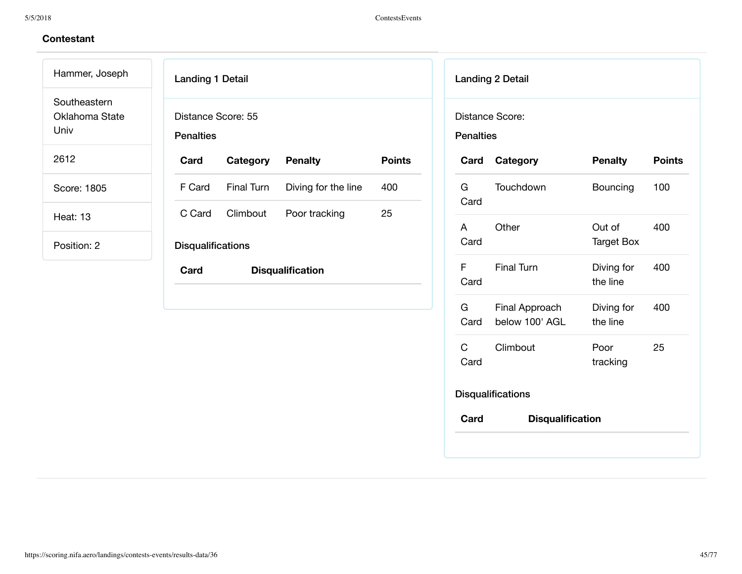Hammer, Joseph Southeastern Oklahoma State Univ

2612

Score: 1805

Heat: 13

| <b>Landing 1 Detail</b>                |            |                         |               |
|----------------------------------------|------------|-------------------------|---------------|
| Distance Score: 55<br><b>Penalties</b> |            |                         |               |
| Card                                   | Category   | <b>Penalty</b>          | <b>Points</b> |
| F Card                                 | Final Turn | Diving for the line     | 400           |
| C Card                                 | Climbout   | Poor tracking           | 25            |
| <b>Disqualifications</b>               |            |                         |               |
| Card                                   |            | <b>Disqualification</b> |               |
|                                        |            |                         |               |

|                      | <b>Landing 2 Detail</b>          |                             |               |
|----------------------|----------------------------------|-----------------------------|---------------|
| <b>Penalties</b>     | Distance Score:                  |                             |               |
| Card                 | Category                         | <b>Penalty</b>              | <b>Points</b> |
| G<br>Card            | Touchdown                        | Bouncing                    | 100           |
| A<br>Card            | Other                            | Out of<br><b>Target Box</b> | 400           |
| F.<br>Card           | <b>Final Turn</b>                | Diving for<br>the line      | 400           |
| G<br>Card            | Final Approach<br>below 100' AGL | Diving for<br>the line      | 400           |
| $\mathsf{C}$<br>Card | Climbout                         | Poor<br>tracking            | 25            |
|                      | <b>Disqualifications</b>         |                             |               |
| Card                 | <b>Disqualification</b>          |                             |               |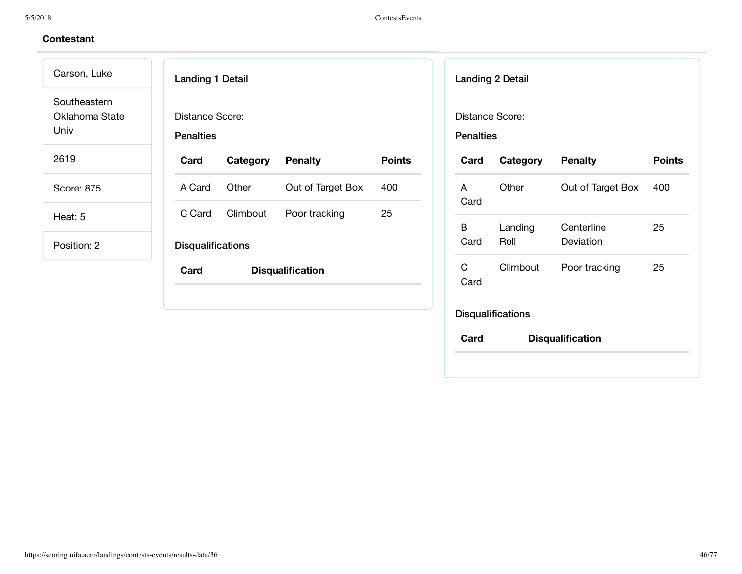Landing 1 Detail Distance Score: **Penalties Card Category Penalty Points** A Card Other Out of Target Box 400 C Card Climbout Poor tracking 25 **Disqualifications Card Disqualification** Landing 2 Detail Distance Score: **Penalties Card Category Penalty Points** A Card Other Out of Target Box 400 B Card Landing Roll **Centerline** Deviation 25 C Card Climbout Poor tracking 25 **Disqualifications Card Disqualification** Carson, Luke **Southeastern** Oklahoma State Univ 2619 Score: 875 Heat: 5 Position: 2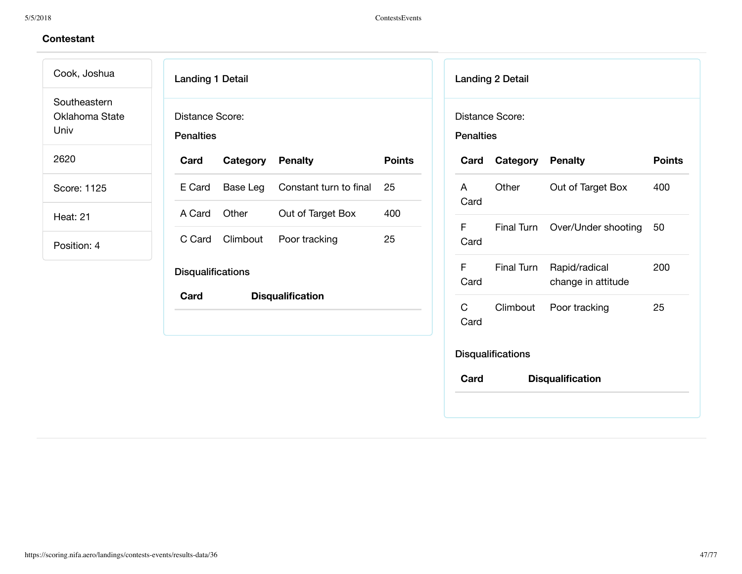Cook, Joshua Southeastern Oklahoma State

Univ

2620

Score: 1125

Heat: 21

| <b>Landing 1 Detail</b>             |                         |                        |               |  |  |  |
|-------------------------------------|-------------------------|------------------------|---------------|--|--|--|
| Distance Score:<br><b>Penalties</b> |                         |                        |               |  |  |  |
| Card                                | <b>Category Penalty</b> |                        | <b>Points</b> |  |  |  |
| E Card                              | Base Leg                | Constant turn to final | 25            |  |  |  |
| A Card                              | Other                   | Out of Target Box      | 400           |  |  |  |
| C Card                              |                         | Climbout Poor tracking | 25            |  |  |  |
| <b>Disqualifications</b>            |                         |                        |               |  |  |  |
| Card                                | <b>Disqualification</b> |                        |               |  |  |  |
|                                     |                         |                        |               |  |  |  |
|                                     |                         |                        |               |  |  |  |
|                                     |                         |                        |               |  |  |  |

|                                     | <b>Landing 2 Detail</b>  |                                     |               |
|-------------------------------------|--------------------------|-------------------------------------|---------------|
| Distance Score:<br><b>Penalties</b> |                          |                                     |               |
| Card                                | <b>Category Penalty</b>  |                                     | <b>Points</b> |
| A<br>Card                           | Other                    | Out of Target Box                   | 400           |
| F<br>Card                           |                          | Final Turn Over/Under shooting      | 50            |
| F<br>Card                           | <b>Final Turn</b>        | Rapid/radical<br>change in attitude | 200           |
| C<br>Card                           |                          | Climbout Poor tracking              | 25            |
|                                     | <b>Disqualifications</b> |                                     |               |
| Card                                |                          | <b>Disqualification</b>             |               |
|                                     |                          |                                     |               |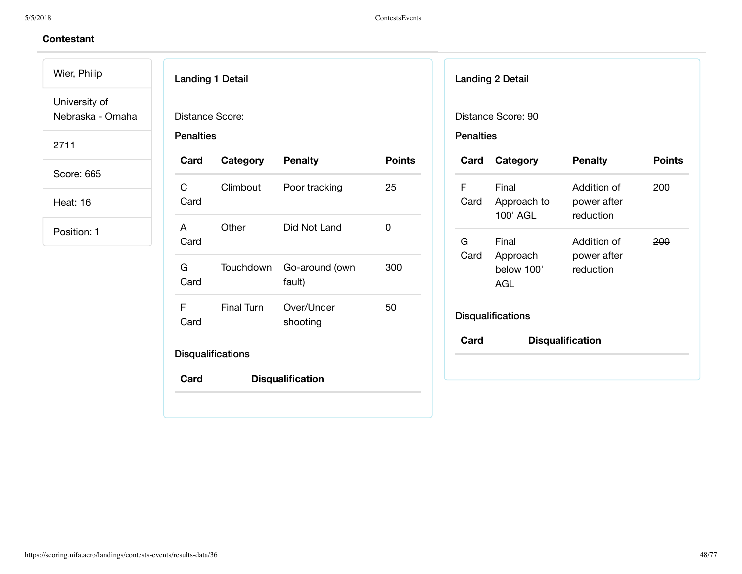Wier, Philip University of

Nebraska - Omaha

2711

Score: 665

Heat: 16

| <b>Penalties</b> | Distance Score: |                          |               |
|------------------|-----------------|--------------------------|---------------|
| Card             | Category        | <b>Penalty</b>           | <b>Points</b> |
| C<br>Card        | Climbout        | Poor tracking            | 25            |
| A<br>Card        | Other           | Did Not Land             | $\Omega$      |
| G –<br>Card      | Touchdown       | Go-around (own<br>fault) | 300           |
| F<br>Card        | Final Turn      | Over/Under<br>shooting   | 50            |

| <b>Penalties</b> | Distance Score: 90                     |                                         |               |
|------------------|----------------------------------------|-----------------------------------------|---------------|
| Card             | Category                               | <b>Penalty</b>                          | <b>Points</b> |
| F<br>Card        | Final<br>Approach to<br>100' AGL       | Addition of<br>power after<br>reduction | 200           |
| G.<br>Card       | Final<br>Approach<br>below 100'<br>AGL | Addition of<br>power after<br>reduction | 200           |
|                  | <b>Disqualifications</b>               |                                         |               |
| Card             |                                        | <b>Disqualification</b>                 |               |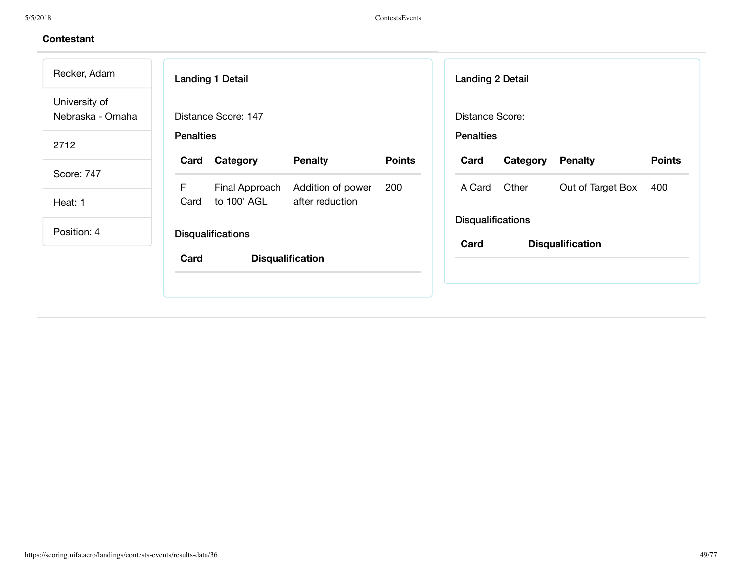| Recker, Adam                      | <b>Landing 1 Detail</b>                   |               | <b>Landing 2 Detail</b>              |
|-----------------------------------|-------------------------------------------|---------------|--------------------------------------|
| University of<br>Nebraska - Omaha | Distance Score: 147                       |               | Distance Score:                      |
| 2712                              | <b>Penalties</b>                          |               | <b>Penalties</b>                     |
|                                   | <b>Penalty</b><br>Category<br>Card        | <b>Points</b> | <b>Penalty</b><br>Card<br>Category   |
| Score: 747                        | F.<br>Final Approach<br>Addition of power | 200           | Other<br>Out of Target Box<br>A Card |
| Heat: 1                           | to 100' AGL<br>after reduction<br>Card    |               |                                      |
|                                   |                                           |               | <b>Disqualifications</b>             |
| Position: 4                       | <b>Disqualifications</b>                  |               |                                      |
|                                   | Card<br><b>Disqualification</b>           |               | Card<br><b>Disqualification</b>      |
|                                   |                                           |               |                                      |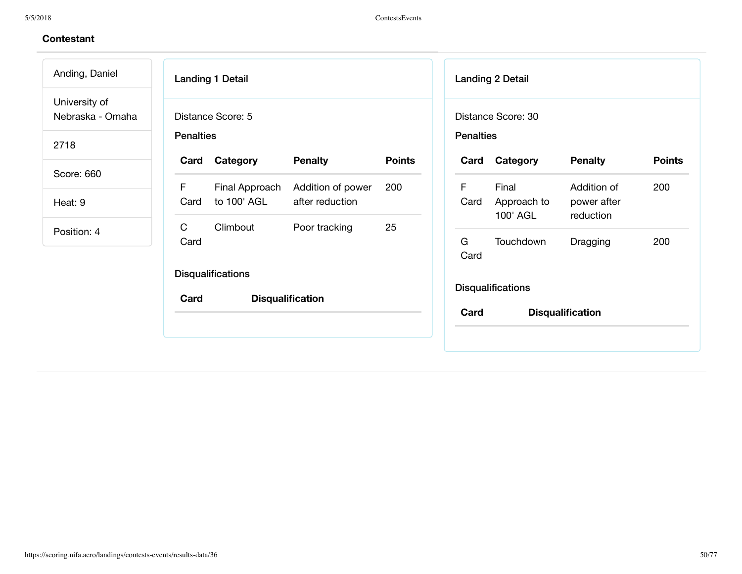$\overline{\phantom{a}}$ 

| Anding, Daniel                    | <b>Landing 1 Detail</b>                                                            |               | <b>Landing 2 Detail</b>                       |                                                |
|-----------------------------------|------------------------------------------------------------------------------------|---------------|-----------------------------------------------|------------------------------------------------|
| University of<br>Nebraska - Omaha | Distance Score: 5                                                                  |               | Distance Score: 30                            |                                                |
| 2718                              | <b>Penalties</b>                                                                   |               | <b>Penalties</b>                              |                                                |
| Score: 660                        | <b>Penalty</b><br>Category<br>Card                                                 | <b>Points</b> | Category<br>Card                              | <b>Points</b><br><b>Penalty</b>                |
| Heat: 9                           | F<br>Final Approach<br>Addition of power<br>to 100' AGL<br>after reduction<br>Card | 200           | F<br>Final<br>Card<br>Approach to<br>100' AGL | Addition of<br>200<br>power after<br>reduction |
| Position: 4                       | $\mathsf{C}$<br>Climbout<br>Poor tracking<br>Card                                  | 25            | G<br>Touchdown<br>Card                        | 200<br>Dragging                                |
|                                   | <b>Disqualifications</b><br>Card<br><b>Disqualification</b>                        |               | <b>Disqualifications</b>                      |                                                |
|                                   |                                                                                    |               | Card                                          | <b>Disqualification</b>                        |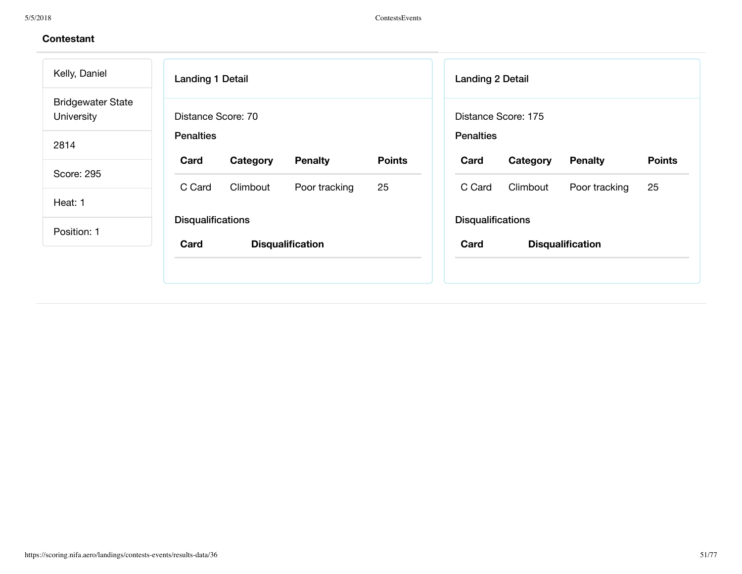| Kelly, Daniel                          | <b>Landing 1 Detail</b>             |               | <b>Landing 2 Detail</b>  |                     |                         |               |
|----------------------------------------|-------------------------------------|---------------|--------------------------|---------------------|-------------------------|---------------|
| <b>Bridgewater State</b><br>University | Distance Score: 70                  |               |                          | Distance Score: 175 |                         |               |
| 2814                                   | <b>Penalties</b>                    |               | <b>Penalties</b>         |                     |                         |               |
|                                        | Card<br>Category<br><b>Penalty</b>  | <b>Points</b> | Card                     | Category            | <b>Penalty</b>          | <b>Points</b> |
| Score: 295                             | C Card<br>Climbout<br>Poor tracking | 25            | C Card                   | Climbout            | Poor tracking           | 25            |
| Heat: 1                                |                                     |               |                          |                     |                         |               |
| Position: 1                            | <b>Disqualifications</b>            |               | <b>Disqualifications</b> |                     |                         |               |
|                                        | Card<br><b>Disqualification</b>     |               | Card                     |                     | <b>Disqualification</b> |               |
|                                        |                                     |               |                          |                     |                         |               |
|                                        |                                     |               |                          |                     |                         |               |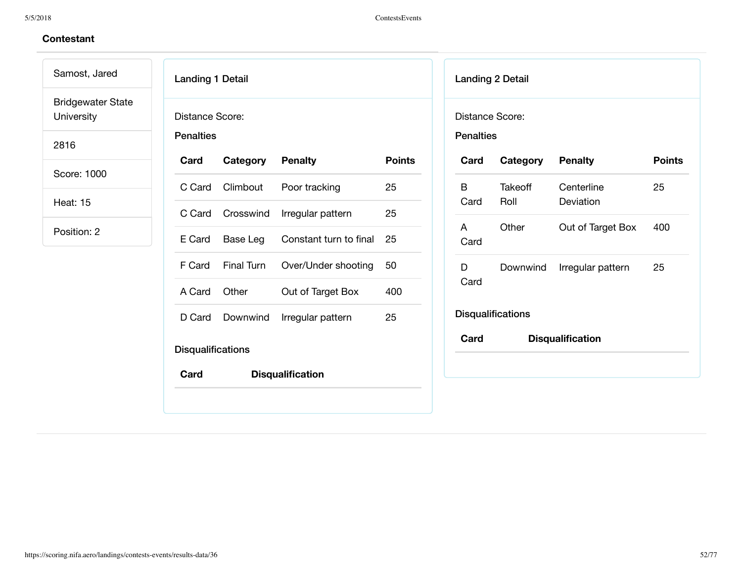Samost, Jared Bridgewater State University

2816

Score: 1000

Heat: 15

| <b>Landing 1 Detail</b>             |                         |                         |               |
|-------------------------------------|-------------------------|-------------------------|---------------|
| Distance Score:<br><b>Penalties</b> |                         |                         |               |
| Card                                | <b>Category Penalty</b> |                         | <b>Points</b> |
| C Card                              | Climbout                | Poor tracking           | 25            |
|                                     | C Card Crosswind        | Irregular pattern       | 25            |
| E Card                              | Base Leg                | Constant turn to final  | 25            |
|                                     | F Card Final Turn       | Over/Under shooting     | 50            |
| A Card                              | Other                   | Out of Target Box       | 400           |
| D Card                              | Downwind                | Irregular pattern       | 25            |
| <b>Disqualifications</b>            |                         |                         |               |
| Card                                |                         | <b>Disqualification</b> |               |

|                                     | <b>Landing 2 Detail</b>  |                         |               |
|-------------------------------------|--------------------------|-------------------------|---------------|
| Distance Score:<br><b>Penalties</b> |                          |                         |               |
| Card                                | Category                 | <b>Penalty</b>          | <b>Points</b> |
| В<br>Card                           | Takeoff<br>Roll          | Centerline<br>Deviation | 25            |
| A<br>Card                           | Other                    | Out of Target Box       | 400           |
| D.<br>Card                          | Downwind                 | Irregular pattern       | 25            |
|                                     | <b>Disqualifications</b> |                         |               |
| Card                                |                          | <b>Disqualification</b> |               |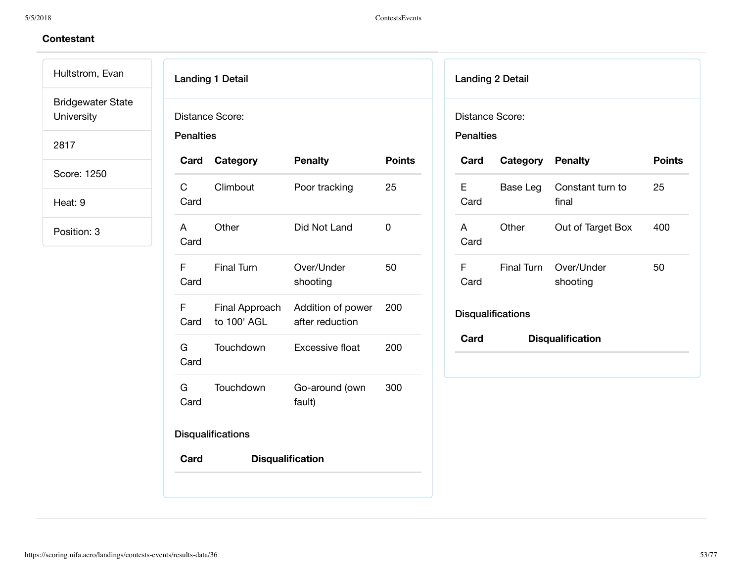Hultstrom, Evan Bridgewater State University

2817

Score: 1250

Heat: 9

| <b>Penalties</b>       | Distance Score:               |                                      |               |
|------------------------|-------------------------------|--------------------------------------|---------------|
|                        | Card Category                 | <b>Penalty</b>                       | <b>Points</b> |
| $\mathsf C$<br>Card    | Climbout                      | Poor tracking                        | 25            |
| A<br>Card              | Other                         | Did Not Land                         | 0             |
| Card                   | F Final Turn                  | Over/Under<br>shooting               | 50            |
| F <sub>a</sub><br>Card | Final Approach<br>to 100' AGL | Addition of power<br>after reduction | 200           |
| Card                   | G Touchdown                   | <b>Excessive float</b>               | 200           |
| G a<br>Card            | <b>Touchdown</b>              | Go-around (own<br>fault)             | 300           |
|                        | <b>Disqualifications</b>      |                                      |               |
| Card                   |                               | <b>Disqualification</b>              |               |

| Distance Score:<br><b>Penalties</b> |                          |                                   |               |
|-------------------------------------|--------------------------|-----------------------------------|---------------|
| Card                                | <b>Category Penalty</b>  |                                   | <b>Points</b> |
| F<br>Card                           | Base Leg                 | Constant turn to<br>final         | 25            |
| A<br>Card                           | Other                    | Out of Target Box                 | 400           |
| F<br>Card                           |                          | Final Turn Over/Under<br>shooting | 50            |
|                                     | <b>Disqualifications</b> |                                   |               |
| Card                                |                          | <b>Disqualification</b>           |               |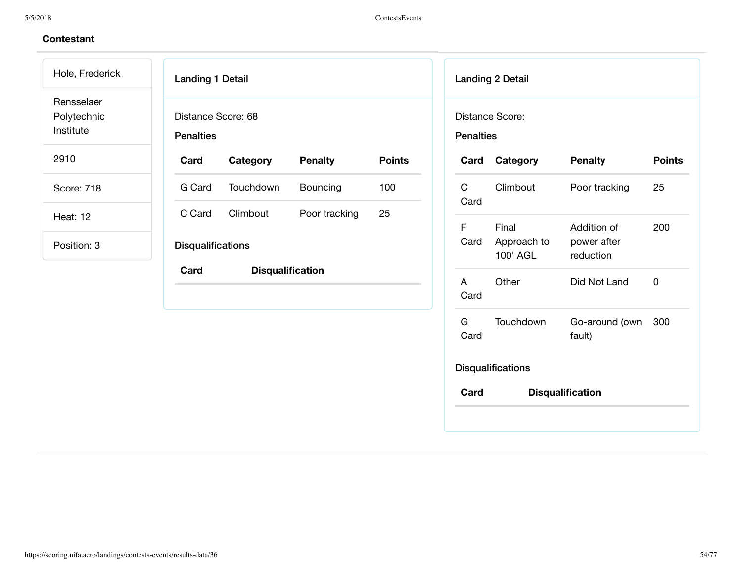Landing 1 Detail Distance Score: 68 **Penalties Card Category Penalty Points** G Card Touchdown Bouncing 100 C Card Climbout Poor tracking 25 **Disqualifications Card Disqualification** Landing 2 Detail Distance Score: **Penalties Card Category Penalty Points** C Card Climbout Poor tracking 25 F Card Final Approach to 100' AGL Addition of power after reduction 200 A Card Other Did Not Land 0 G Card Touchdown Go-around (own 300 fault) **Disqualifications Card Disqualification** Hole, Frederick Rensselaer Polytechnic Institute 2910 Score: 718 Heat: 12 Position: 3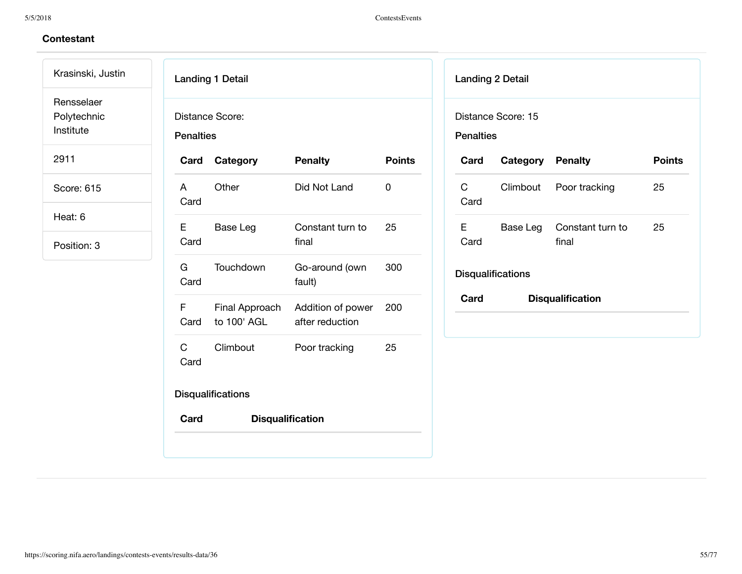### 5/5/2018 ContestsEvents

# **Contestant**

Krasinski, Justin Rensselaer

Polytechnic

Institute

2911

Score: 615

Heat: 6

|                      | <b>Landing 1 Detail</b>       |                                      |               |
|----------------------|-------------------------------|--------------------------------------|---------------|
| <b>Penalties</b>     | Distance Score:               |                                      |               |
| Card                 | Category                      | <b>Penalty</b>                       | <b>Points</b> |
| A<br>Card            | Other                         | Did Not Land                         | 0             |
| F<br>Card            | Base Leg                      | Constant turn to<br>final            | 25            |
| G –<br>Card          | Touchdown                     | Go-around (own<br>fault)             | 300           |
| F<br>Card            | Final Approach<br>to 100' AGL | Addition of power<br>after reduction | 200           |
| $\mathbf{C}$<br>Card | Climbout                      | Poor tracking                        | 25            |
|                      | <b>Disqualifications</b>      |                                      |               |
| Card                 | <b>Disqualification</b>       |                                      |               |
|                      |                               |                                      |               |

|                  | <b>Landing 2 Detail</b><br>Distance Score: 15 |                           |               |
|------------------|-----------------------------------------------|---------------------------|---------------|
| <b>Penalties</b> |                                               |                           |               |
| Card             | <b>Category Penalty</b>                       |                           | <b>Points</b> |
| C<br>Card        |                                               | Climbout Poor tracking    | 25            |
| F.<br>Card       | Base Leg                                      | Constant turn to<br>final | 25            |
|                  | <b>Disqualifications</b>                      |                           |               |
| Card             |                                               | <b>Disqualification</b>   |               |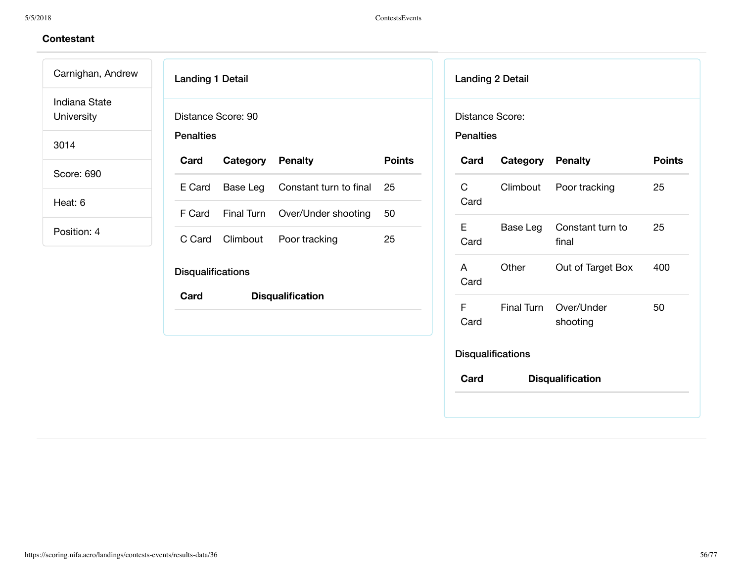Carnighan, Andrew Indiana State University

3014

Score: 690

Heat: 6

| <b>Landing 1 Detail</b>                |                         |                         |               |
|----------------------------------------|-------------------------|-------------------------|---------------|
| Distance Score: 90<br><b>Penalties</b> |                         |                         |               |
| Card                                   | <b>Category Penalty</b> |                         | <b>Points</b> |
| E Card                                 | Base Leg                | Constant turn to final  | 25            |
| F Card                                 | Final Turn              | Over/Under shooting     | 50            |
|                                        | C Card Climbout         | Poor tracking           | 25            |
| <b>Disqualifications</b>               |                         |                         |               |
| Card                                   |                         | <b>Disqualification</b> |               |
|                                        |                         |                         |               |
|                                        |                         |                         |               |

| Distance Score:<br><b>Penalties</b> |                          |                           |               |
|-------------------------------------|--------------------------|---------------------------|---------------|
| Card                                | <b>Category Penalty</b>  |                           | <b>Points</b> |
| C<br>Card                           | Climbout                 | Poor tracking             | 25            |
| F<br>Card                           | Base Leg                 | Constant turn to<br>final | 25            |
| A<br>Card                           | Other                    | Out of Target Box         | 400           |
| F<br>Card                           | <b>Final Turn</b>        | Over/Under<br>shooting    | 50            |
|                                     | <b>Disqualifications</b> |                           |               |
| Card                                |                          | <b>Disqualification</b>   |               |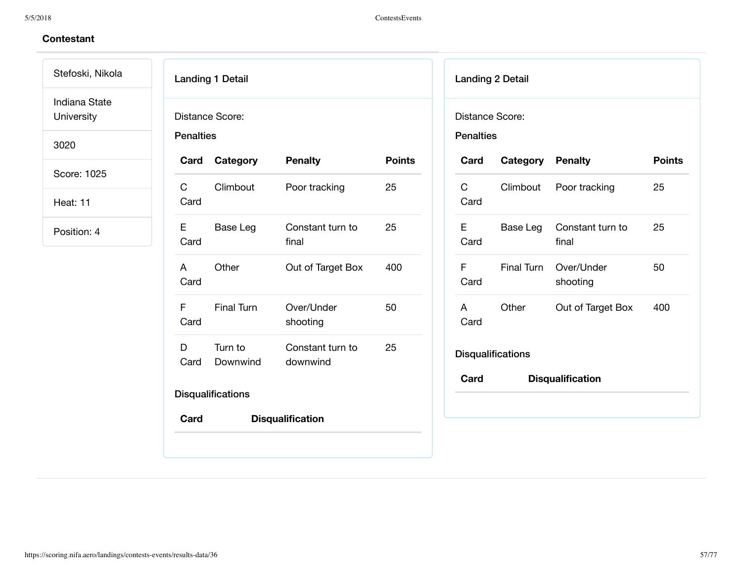Stefoski, Nikola Indiana State University

3020

Score: 1025

Heat: 11

|                  | <b>Landing 1 Detail</b>  |                              |               |
|------------------|--------------------------|------------------------------|---------------|
| <b>Penalties</b> | Distance Score:          |                              |               |
| Card             | Category                 | <b>Penalty</b>               | <b>Points</b> |
| C<br>Card        | Climbout                 | Poor tracking                | 25            |
| E.<br>Card       | Base Leg                 | Constant turn to<br>final    | 25            |
| A<br>Card        | Other                    | Out of Target Box            | 400           |
| F<br>Card        | <b>Final Turn</b>        | Over/Under<br>shooting       | 50            |
| D<br>Card        | Turn to<br>Downwind      | Constant turn to<br>downwind | 25            |
|                  | <b>Disqualifications</b> |                              |               |
| Card             |                          | <b>Disqualification</b>      |               |

| Distance Score:<br><b>Penalties</b> | <b>Landing 2 Detail</b>  |                           |               |
|-------------------------------------|--------------------------|---------------------------|---------------|
| Card                                | <b>Category Penalty</b>  |                           | <b>Points</b> |
| C<br>Card                           |                          | Climbout Poor tracking    | 25            |
| Е<br>Card                           | Base Leg                 | Constant turn to<br>final | 25            |
| F<br>Card                           | Final Turn               | Over/Under<br>shooting    | 50            |
| A<br>Card                           | Other                    | Out of Target Box         | 400           |
|                                     | <b>Disqualifications</b> |                           |               |
| Card                                |                          | <b>Disqualification</b>   |               |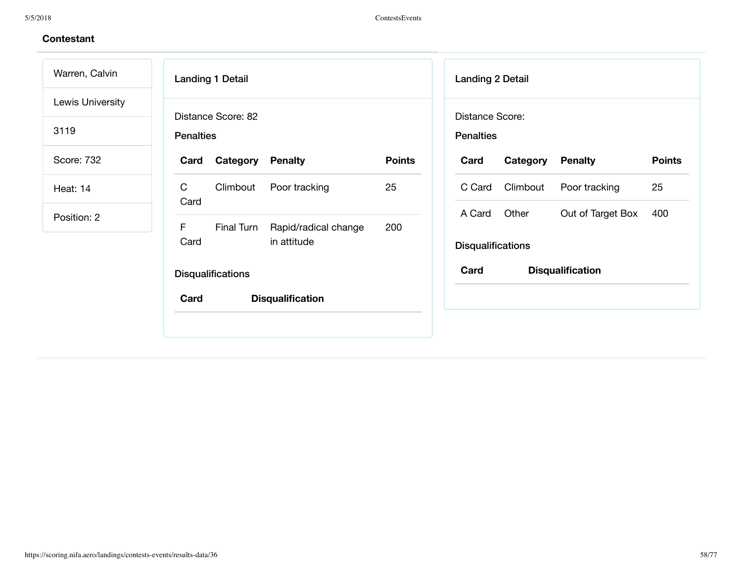Warren, Calvin Lewis University

3119

Score: 732

Heat: 14

|                  | <b>Landing 1 Detail</b>  |                                     |               |
|------------------|--------------------------|-------------------------------------|---------------|
| <b>Penalties</b> | Distance Score: 82       |                                     |               |
| Card             | <b>Category Penalty</b>  |                                     | <b>Points</b> |
| C<br>Card        |                          | Climbout Poor tracking              | 25            |
| F<br>Card        | Final Turn               | Rapid/radical change<br>in attitude | 200           |
|                  | <b>Disqualifications</b> |                                     |               |
| Card             |                          | <b>Disqualification</b>             |               |
|                  |                          |                                     |               |

| <b>Landing 2 Detail</b>             |                 |                         |               |
|-------------------------------------|-----------------|-------------------------|---------------|
| Distance Score:<br><b>Penalties</b> |                 |                         |               |
| Card                                | Category        | <b>Penalty</b>          | <b>Points</b> |
|                                     | C Card Climbout | Poor tracking           | 25            |
| A Card                              | Other           | Out of Target Box       | 400           |
| <b>Disqualifications</b>            |                 |                         |               |
| Card                                |                 | <b>Disqualification</b> |               |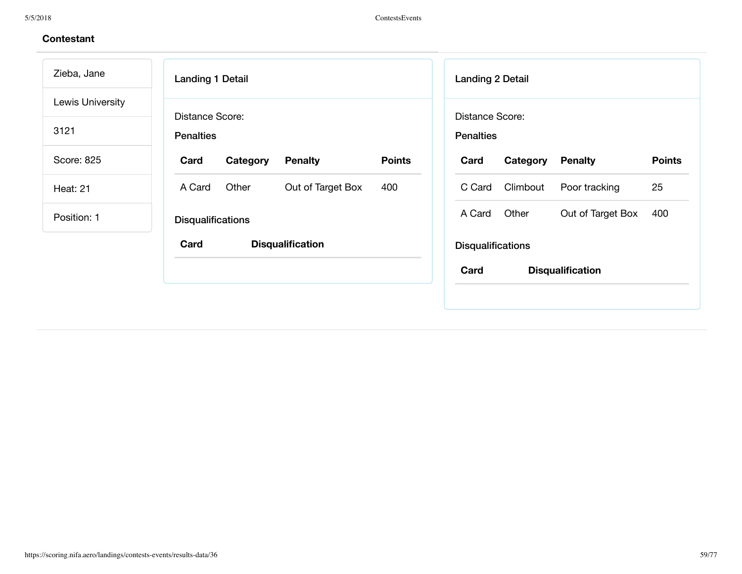| Zieba, Jane      | <b>Landing 1 Detail</b><br><b>Landing 2 Detail</b>                                                         |
|------------------|------------------------------------------------------------------------------------------------------------|
| Lewis University | Distance Score:<br>Distance Score:                                                                         |
| 3121             | <b>Penalties</b><br><b>Penalties</b>                                                                       |
| Score: 825       | <b>Points</b><br>Category<br><b>Penalty</b><br><b>Points</b><br>Card<br>Category<br><b>Penalty</b><br>Card |
| <b>Heat: 21</b>  | 25<br>Other<br>Climbout<br>Out of Target Box<br>Poor tracking<br>A Card<br>400<br>C Card                   |
| Position: 1      | Other<br>A Card<br>Out of Target Box<br>400<br><b>Disqualifications</b>                                    |
|                  | Card<br><b>Disqualification</b><br><b>Disqualifications</b>                                                |
|                  | Card<br><b>Disqualification</b>                                                                            |
|                  |                                                                                                            |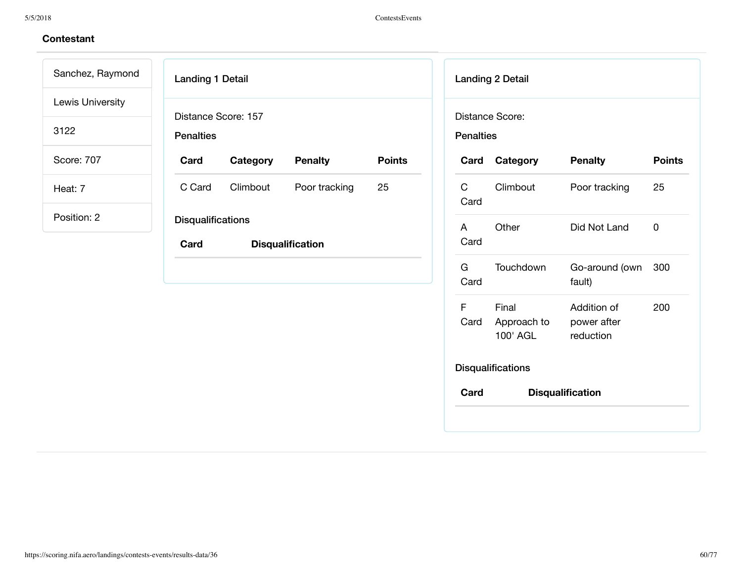| Sanchez, Raymond | <b>Landing 1 Detail</b>          |          |                         |               |                      | <b>Landing 2 Detail</b>          |                                         |               |
|------------------|----------------------------------|----------|-------------------------|---------------|----------------------|----------------------------------|-----------------------------------------|---------------|
| Lewis University | Distance Score: 157              |          |                         |               |                      | Distance Score:                  |                                         |               |
| 3122             | <b>Penalties</b>                 |          |                         |               | <b>Penalties</b>     |                                  |                                         |               |
| Score: 707       | Card                             | Category | <b>Penalty</b>          | <b>Points</b> | Card                 | Category                         | <b>Penalty</b>                          | <b>Points</b> |
| Heat: 7          | C Card                           | Climbout | Poor tracking           | 25            | $\mathsf C$<br>Card  | Climbout                         | Poor tracking                           | 25            |
| Position: 2      | <b>Disqualifications</b><br>Card |          | <b>Disqualification</b> |               | $\mathsf{A}$<br>Card | Other                            | Did Not Land                            | $\mathsf 0$   |
|                  |                                  |          |                         |               | G<br>Card            | Touchdown                        | Go-around (own<br>fault)                | 300           |
|                  |                                  |          |                         |               | F<br>Card            | Final<br>Approach to<br>100' AGL | Addition of<br>power after<br>reduction | 200           |
|                  |                                  |          |                         |               |                      | <b>Disqualifications</b>         |                                         |               |
|                  |                                  |          |                         |               | Card                 |                                  | <b>Disqualification</b>                 |               |
|                  |                                  |          |                         |               |                      |                                  |                                         |               |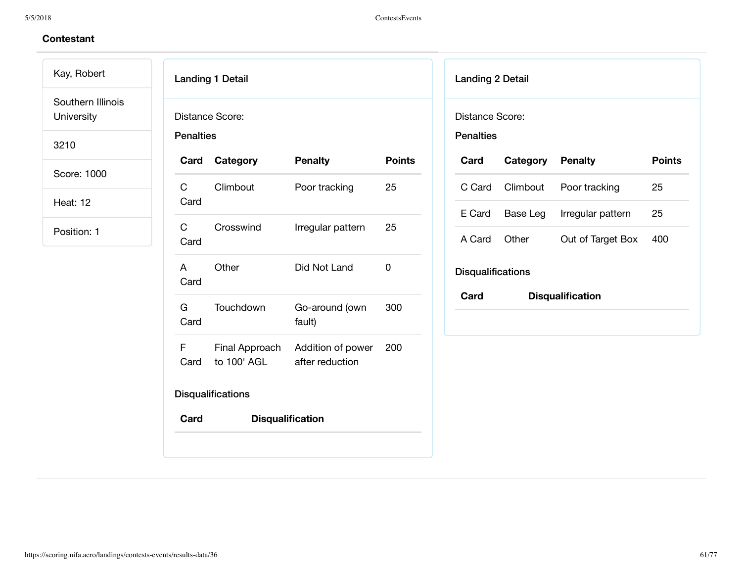Kay, Robert Southern Illinois

University

3210

Score: 1000

Heat: 12

| <b>Penalties</b>                      | Distance Score:             |                                    |               |
|---------------------------------------|-----------------------------|------------------------------------|---------------|
|                                       | Card Category               | <b>Penalty</b>                     | <b>Points</b> |
| $\mathsf C$ and $\mathsf C$<br>Card   | Climbout                    | Poor tracking                      | 25            |
| $\mathbf{C}$ and $\mathbf{C}$<br>Card | Crosswind                   | Irregular pattern                  | 25            |
| $\overline{A}$<br>Card                | Other                       | Did Not Land                       | 0             |
| G a<br>Card                           | Touchdown                   | Go-around (own<br>fault)           | 300           |
| Card                                  | to 100' AGL after reduction | F Final Approach Addition of power | 200           |
|                                       | <b>Disqualifications</b>    |                                    |               |
| Card                                  | <b>Disqualification</b>     |                                    |               |

| <b>Landing 2 Detail</b>             |                 |                         |               |
|-------------------------------------|-----------------|-------------------------|---------------|
| Distance Score:<br><b>Penalties</b> |                 |                         |               |
| Card                                | Category        | <b>Penalty</b>          | <b>Points</b> |
|                                     | C Card Climbout | Poor tracking           | 25            |
| E Card                              | Base Leg        | Irregular pattern       | 25            |
| A Card                              | Other           | Out of Target Box       | 400           |
| <b>Disqualifications</b>            |                 |                         |               |
| Card                                |                 | <b>Disqualification</b> |               |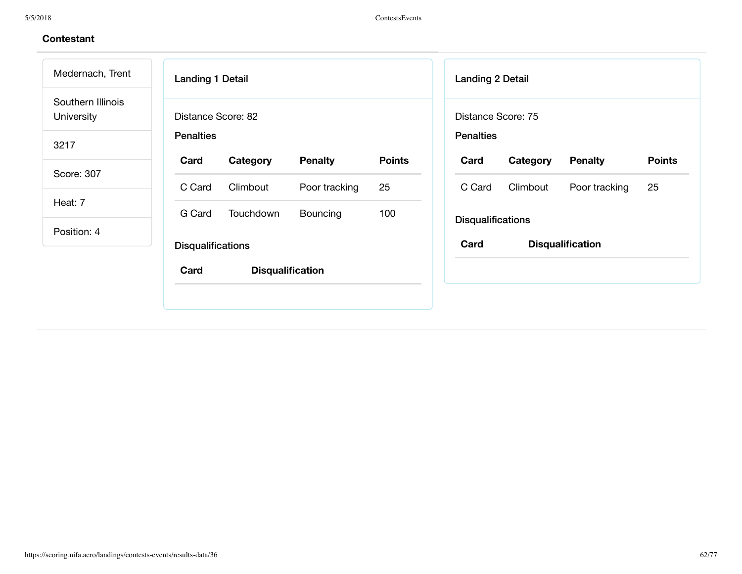| Medernach, Trent                       | <b>Landing 1 Detail</b>  |                         |                |               | <b>Landing 2 Detail</b>  |          |                         |
|----------------------------------------|--------------------------|-------------------------|----------------|---------------|--------------------------|----------|-------------------------|
| Southern Illinois<br><b>University</b> | Distance Score: 82       |                         |                |               | Distance Score: 75       |          |                         |
| 3217                                   | <b>Penalties</b>         |                         |                |               | <b>Penalties</b>         |          |                         |
|                                        | Card                     | Category                | <b>Penalty</b> | <b>Points</b> | Card                     | Category | <b>Penalty</b>          |
| Score: 307                             | C Card                   | Climbout                | Poor tracking  | 25            | C Card                   | Climbout | Poor tracking           |
| Heat: 7                                | G Card                   | Touchdown               | Bouncing       | 100           |                          |          |                         |
| Position: 4                            |                          |                         |                |               | <b>Disqualifications</b> |          |                         |
|                                        | <b>Disqualifications</b> |                         |                |               | Card                     |          | <b>Disqualification</b> |
|                                        | Card                     | <b>Disqualification</b> |                |               |                          |          |                         |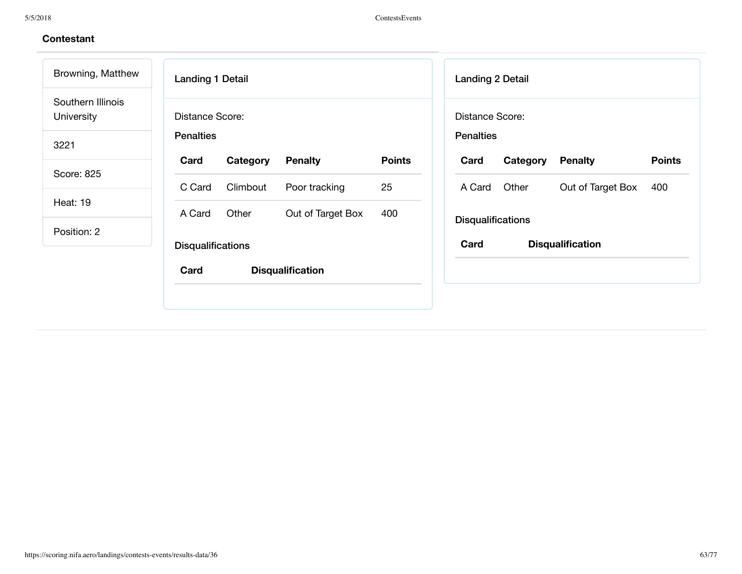| Browning, Matthew               | <b>Landing 1 Detail</b>  |                         |               | <b>Landing 2 Detail</b>  |          |                         |
|---------------------------------|--------------------------|-------------------------|---------------|--------------------------|----------|-------------------------|
| Southern Illinois<br>University | Distance Score:          |                         |               | Distance Score:          |          |                         |
| 3221                            | <b>Penalties</b>         |                         |               | <b>Penalties</b>         |          |                         |
|                                 | Card<br>Category         | <b>Penalty</b>          | <b>Points</b> | Card                     | Category | <b>Penalty</b>          |
| Score: 825                      | Climbout<br>C Card       | Poor tracking           | 25            | A Card                   | Other    | Out of Target Box       |
| <b>Heat: 19</b>                 | Other<br>A Card          | Out of Target Box       | 400           |                          |          |                         |
| Position: 2                     |                          |                         |               | <b>Disqualifications</b> |          |                         |
|                                 | <b>Disqualifications</b> |                         |               | Card                     |          | <b>Disqualification</b> |
|                                 | Card                     | <b>Disqualification</b> |               |                          |          |                         |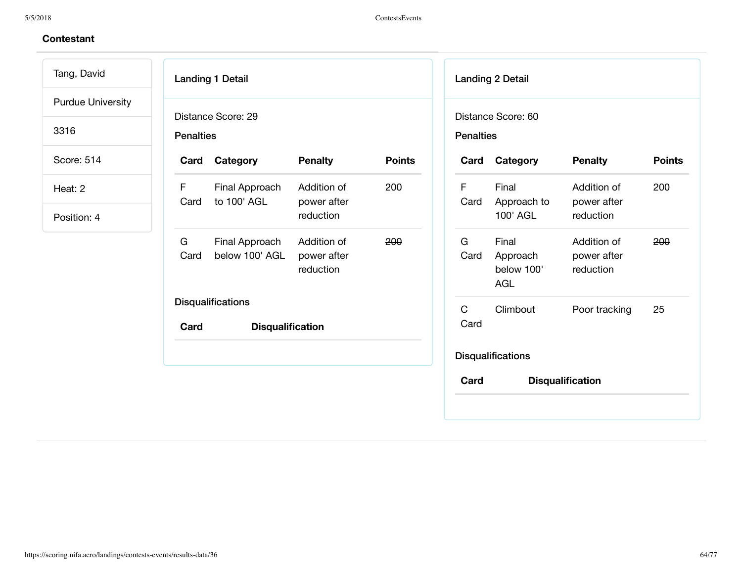### 5/5/2018 ContestsEvents

| Tang, David              | <b>Landing 1 Detail</b>                                                                  |               | <b>Landing 2 Detail</b>                                                                                      |
|--------------------------|------------------------------------------------------------------------------------------|---------------|--------------------------------------------------------------------------------------------------------------|
| <b>Purdue University</b> | Distance Score: 29                                                                       |               | Distance Score: 60                                                                                           |
| 3316                     | <b>Penalties</b>                                                                         |               | <b>Penalties</b>                                                                                             |
| Score: 514               | Category<br><b>Penalty</b><br>Card                                                       | <b>Points</b> | <b>Penalty</b><br><b>Points</b><br>Category<br>Card                                                          |
| Heat: 2                  | F.<br>Final Approach<br>Addition of<br>to 100' AGL<br>Card<br>power after                | 200           | F<br>Final<br>Addition of<br>200<br>Card<br>Approach to<br>power after                                       |
| Position: 4              | reduction                                                                                |               | 100' AGL<br>reduction                                                                                        |
|                          | G<br>Final Approach<br>Addition of<br>Card<br>below 100' AGL<br>power after<br>reduction | 200           | G<br>Final<br>Addition of<br>200<br>Card<br>Approach<br>power after<br>below 100'<br>reduction<br><b>AGL</b> |
|                          | <b>Disqualifications</b><br>Card<br><b>Disqualification</b>                              |               | $\mathsf{C}$<br>25<br>Climbout<br>Poor tracking<br>Card                                                      |
|                          |                                                                                          |               | <b>Disqualifications</b>                                                                                     |
|                          |                                                                                          |               | Card<br><b>Disqualification</b>                                                                              |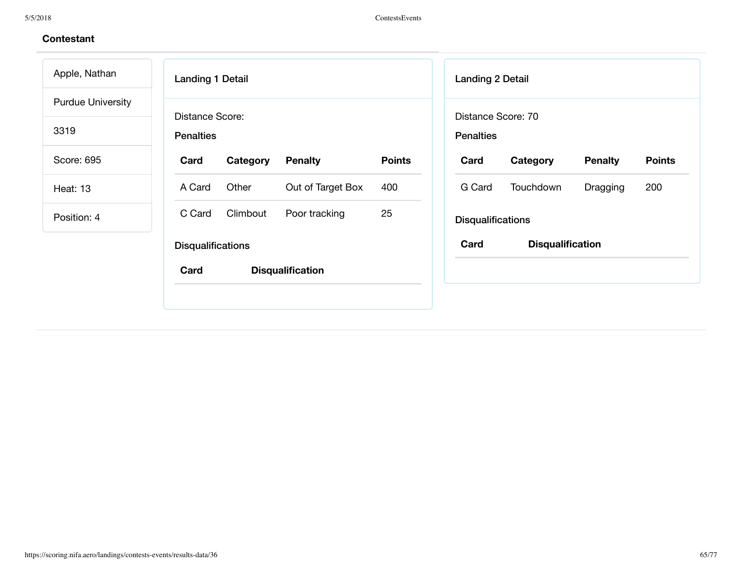5/5/2018 ContestsEvents

| Apple, Nathan            | <b>Landing 1 Detail</b>  |          |                         |               | Landing 2 Detail         |                         |                |
|--------------------------|--------------------------|----------|-------------------------|---------------|--------------------------|-------------------------|----------------|
| <b>Purdue University</b> | Distance Score:          |          |                         |               |                          | Distance Score: 70      |                |
| 3319                     | <b>Penalties</b>         |          |                         |               | <b>Penalties</b>         |                         |                |
| Score: 695               | Card                     | Category | <b>Penalty</b>          | <b>Points</b> | Card                     | Category                | <b>Penalty</b> |
| <b>Heat: 13</b>          | A Card                   | Other    | Out of Target Box       | 400           | G Card                   | Touchdown               | Dragging       |
| Position: 4              | C Card                   | Climbout | Poor tracking           | 25            | <b>Disqualifications</b> |                         |                |
|                          | <b>Disqualifications</b> |          |                         |               | Card                     | <b>Disqualification</b> |                |
|                          | Card                     |          | <b>Disqualification</b> |               |                          |                         |                |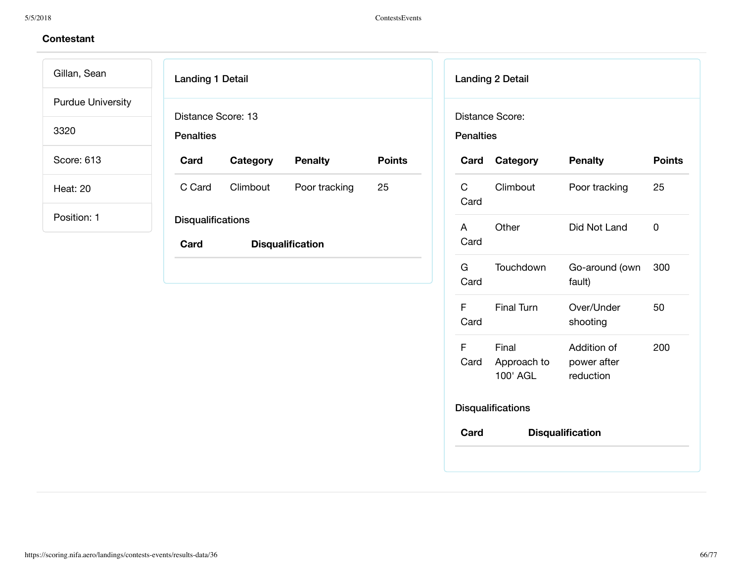Gillan, Sean Purdue University

3320

Score: 613

Heat: 20

| <b>Landing 1 Detail</b>                |                         |                |               |  |  |
|----------------------------------------|-------------------------|----------------|---------------|--|--|
| Distance Score: 13<br><b>Penalties</b> |                         |                |               |  |  |
| Card                                   | Category                | <b>Penalty</b> | <b>Points</b> |  |  |
| C Card                                 | Climbout                | Poor tracking  | 25            |  |  |
| <b>Disqualifications</b>               |                         |                |               |  |  |
| Card                                   | <b>Disqualification</b> |                |               |  |  |
|                                        |                         |                |               |  |  |

| <b>Landing 2 Detail</b>             |                                  |                                         |               |  |  |  |  |
|-------------------------------------|----------------------------------|-----------------------------------------|---------------|--|--|--|--|
| Distance Score:<br><b>Penalties</b> |                                  |                                         |               |  |  |  |  |
| Card                                | Category                         | <b>Penalty</b>                          | <b>Points</b> |  |  |  |  |
| C.<br>Card                          | Climbout                         | Poor tracking                           | 25            |  |  |  |  |
| A<br>Card                           | Other                            | Did Not Land                            | 0             |  |  |  |  |
| G<br>Card                           | Touchdown                        | Go-around (own<br>fault)                | 300           |  |  |  |  |
| F<br>Card                           | <b>Final Turn</b>                | Over/Under<br>shooting                  | 50            |  |  |  |  |
| F<br>Card                           | Final<br>Approach to<br>100' AGL | Addition of<br>power after<br>reduction | 200           |  |  |  |  |
|                                     | <b>Disqualifications</b>         |                                         |               |  |  |  |  |
| Card                                |                                  | <b>Disqualification</b>                 |               |  |  |  |  |
|                                     |                                  |                                         |               |  |  |  |  |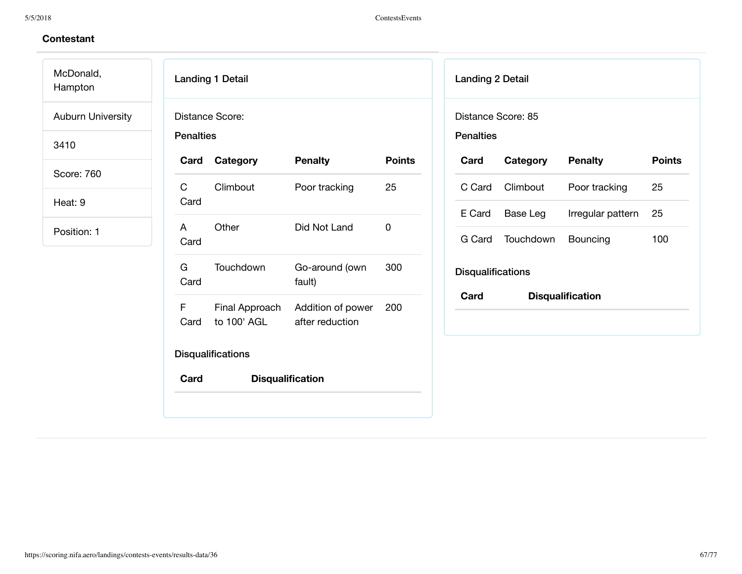McDonald, Hampton

Auburn University

3410

Score: 760

Heat: 9

| <b>Penalties</b>                      | Distance Score:             |                                  |               |
|---------------------------------------|-----------------------------|----------------------------------|---------------|
|                                       | Card Category               | <b>Penalty</b>                   | <b>Points</b> |
| $\mathbf{C}$ and $\mathbf{C}$<br>Card | Climbout                    | Poor tracking                    | 25            |
| A<br>Card                             | Other                       | Did Not Land                     | 0             |
| G –<br>Card                           | Touchdown                   | Go-around (own<br>fault)         | 300           |
| F.<br>Card                            | to 100' AGL after reduction | Final Approach Addition of power | 200           |
|                                       | <b>Disqualifications</b>    |                                  |               |
| Card                                  |                             | <b>Disqualification</b>          |               |

| <b>Landing 2 Detail</b>                |           |                         |               |  |  |  |
|----------------------------------------|-----------|-------------------------|---------------|--|--|--|
| Distance Score: 85<br><b>Penalties</b> |           |                         |               |  |  |  |
| Card                                   | Category  | <b>Penalty</b>          | <b>Points</b> |  |  |  |
| C Card                                 | Climbout  | Poor tracking           | 25            |  |  |  |
| E Card                                 | Base Leg  | Irregular pattern       | 25            |  |  |  |
| G Card                                 | Touchdown | Bouncing                | 100           |  |  |  |
| <b>Disqualifications</b>               |           |                         |               |  |  |  |
| Card                                   |           | <b>Disqualification</b> |               |  |  |  |
|                                        |           |                         |               |  |  |  |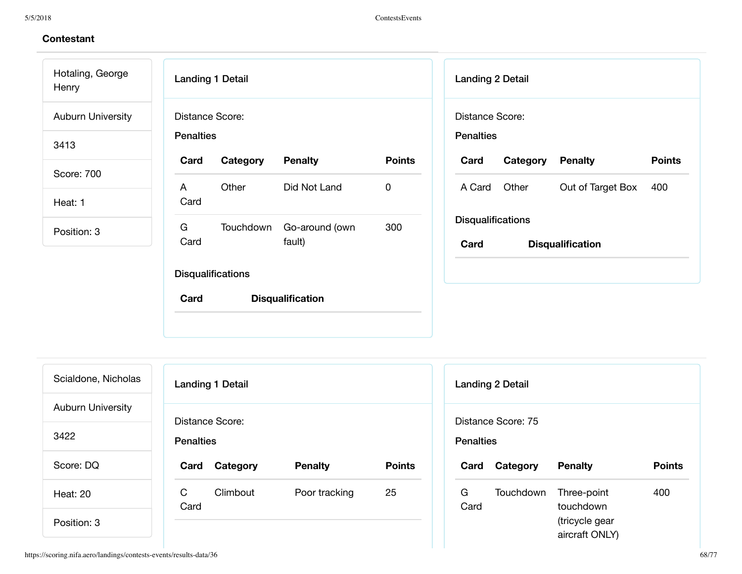5/5/2018 ContestsEvents

## **Contestant**

Hotaling, George **Henry** Auburn University

3413

Score: 700

Heat: 1

Position: 3

| <b>Landing 1 Detail</b>             |          |                                    |               |  |  |  |
|-------------------------------------|----------|------------------------------------|---------------|--|--|--|
| Distance Score:<br><b>Penalties</b> |          |                                    |               |  |  |  |
| Card                                | Category | <b>Penalty</b>                     | <b>Points</b> |  |  |  |
| A<br>Card                           | Other    | Did Not Land                       | 0             |  |  |  |
| G.<br>Card                          |          | Touchdown Go-around (own<br>fault) | 300           |  |  |  |
| <b>Disqualifications</b>            |          |                                    |               |  |  |  |
| Card                                |          | <b>Disqualification</b>            |               |  |  |  |
|                                     |          |                                    |               |  |  |  |

| <b>Landing 2 Detail</b>             |                          |                         |               |  |  |  |  |
|-------------------------------------|--------------------------|-------------------------|---------------|--|--|--|--|
| Distance Score:<br><b>Penalties</b> |                          |                         |               |  |  |  |  |
| Card                                | <b>Category Penalty</b>  |                         | <b>Points</b> |  |  |  |  |
|                                     | A Card Other             | Out of Target Box       | 400           |  |  |  |  |
|                                     | <b>Disqualifications</b> |                         |               |  |  |  |  |
| Card                                |                          | <b>Disqualification</b> |               |  |  |  |  |
|                                     |                          |                         |               |  |  |  |  |

| Scialdone, Nicholas      | <b>Landing 1 Detail</b>             |                |               |  |  |  |  |
|--------------------------|-------------------------------------|----------------|---------------|--|--|--|--|
| <b>Auburn University</b> |                                     |                |               |  |  |  |  |
| 3422                     | Distance Score:<br><b>Penalties</b> |                |               |  |  |  |  |
| Score: DQ                | Card<br>Category                    | <b>Penalty</b> | <b>Points</b> |  |  |  |  |
| Heat: 20                 | C<br>Climbout<br>Card               | Poor tracking  | 25            |  |  |  |  |
| Position: 3              |                                     |                |               |  |  |  |  |

|                  | Landing 2 Detail   |                |        |
|------------------|--------------------|----------------|--------|
| <b>Penalties</b> | Distance Score: 75 |                |        |
| Card             | Category           | <b>Penalty</b> | Points |
|                  |                    |                |        |

https://scoring.nifa.aero/landings/contests-events/results-data/36 68/77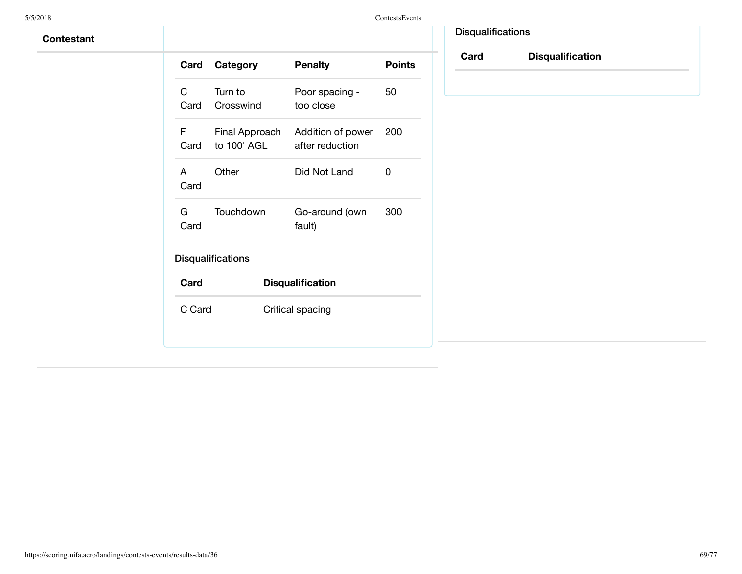| Card       | Category                      | <b>Penalty</b>                       | <b>Points</b> |
|------------|-------------------------------|--------------------------------------|---------------|
| C<br>Card  | Turn to<br>Crosswind          | Poor spacing -<br>too close          | 50            |
| F<br>Card  | Final Approach<br>to 100' AGL | Addition of power<br>after reduction | 200           |
| A<br>Card  | Other                         | Did Not Land                         | O             |
| G.<br>Card | Touchdown                     | Go-around (own<br>fault)             | 300           |
|            | <b>Disqualifications</b>      |                                      |               |
| Card       |                               | <b>Disqualification</b>              |               |
| C Card     |                               | Critical spacing                     |               |
|            |                               |                                      |               |

| <b>Disqualifications</b> |
|--------------------------|
|                          |

**Card Disqualification**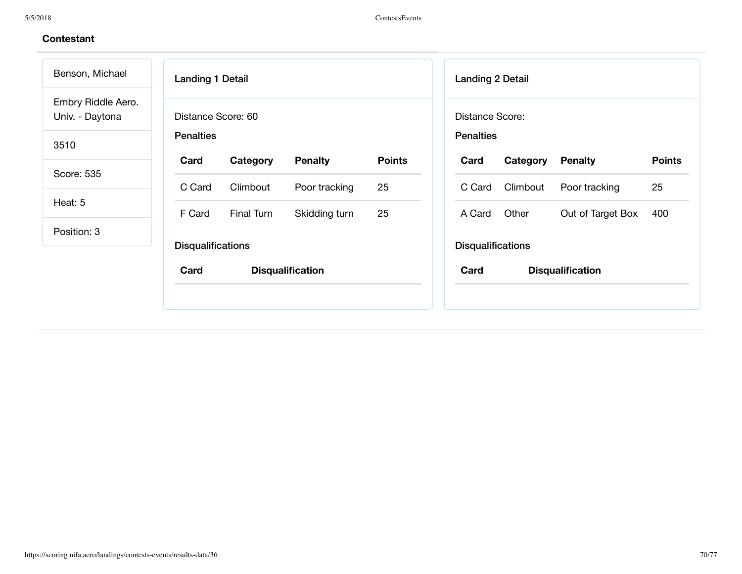|                  |          |                                                              |                                          |      | <b>Landing 2 Detail</b> |                                                                                              |                                              |
|------------------|----------|--------------------------------------------------------------|------------------------------------------|------|-------------------------|----------------------------------------------------------------------------------------------|----------------------------------------------|
|                  |          |                                                              |                                          |      |                         |                                                                                              |                                              |
| <b>Penalties</b> |          |                                                              |                                          |      |                         |                                                                                              |                                              |
| Card             | Category | <b>Penalty</b>                                               | <b>Points</b>                            | Card | Category                | <b>Penalty</b>                                                                               | <b>Points</b>                                |
| C Card           | Climbout | Poor tracking                                                | 25                                       |      | Climbout                | Poor tracking                                                                                | 25                                           |
|                  |          |                                                              |                                          |      |                         |                                                                                              | 400                                          |
|                  |          |                                                              |                                          |      |                         |                                                                                              |                                              |
| Card             |          |                                                              |                                          | Card |                         |                                                                                              |                                              |
|                  | F Card   | Distance Score: 60<br>Final Turn<br><b>Disqualifications</b> | Skidding turn<br><b>Disqualification</b> | 25   |                         | Distance Score:<br><b>Penalties</b><br>C Card<br>Other<br>A Card<br><b>Disqualifications</b> | Out of Target Box<br><b>Disqualification</b> |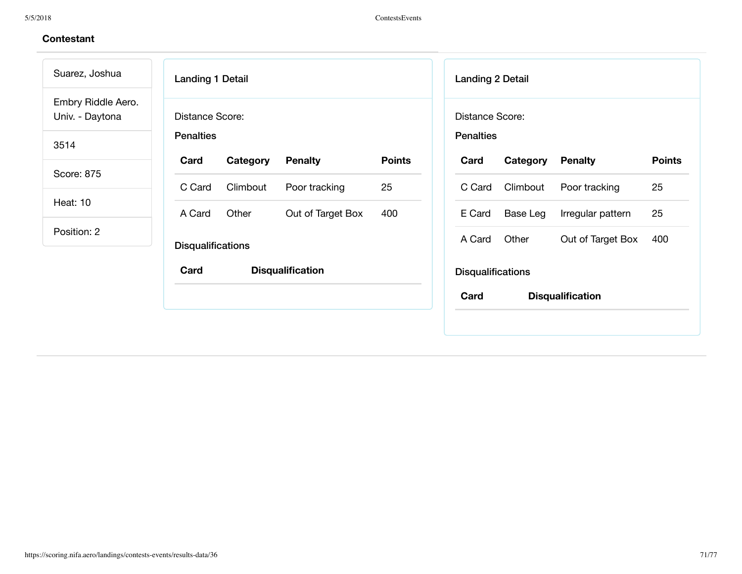| Suarez, Joshua                        | <b>Landing 1 Detail</b>  |          |                         |               |                  | <b>Landing 2 Detail</b>  |                         |               |
|---------------------------------------|--------------------------|----------|-------------------------|---------------|------------------|--------------------------|-------------------------|---------------|
| Embry Riddle Aero.<br>Univ. - Daytona | Distance Score:          |          |                         |               |                  | Distance Score:          |                         |               |
| 3514                                  | <b>Penalties</b>         |          |                         |               | <b>Penalties</b> |                          |                         |               |
|                                       | Card                     | Category | <b>Penalty</b>          | <b>Points</b> | Card             | Category                 | <b>Penalty</b>          | <b>Points</b> |
| Score: 875                            | C Card                   | Climbout | Poor tracking           | 25            | C Card           | Climbout                 | Poor tracking           | 25            |
| <b>Heat: 10</b>                       | A Card                   | Other    | Out of Target Box       | 400           | E Card           | Base Leg                 | Irregular pattern       | 25            |
| Position: 2                           | <b>Disqualifications</b> |          |                         |               | A Card           | Other                    | Out of Target Box       | 400           |
|                                       | Card                     |          | <b>Disqualification</b> |               |                  | <b>Disqualifications</b> |                         |               |
|                                       |                          |          |                         |               | Card             |                          | <b>Disqualification</b> |               |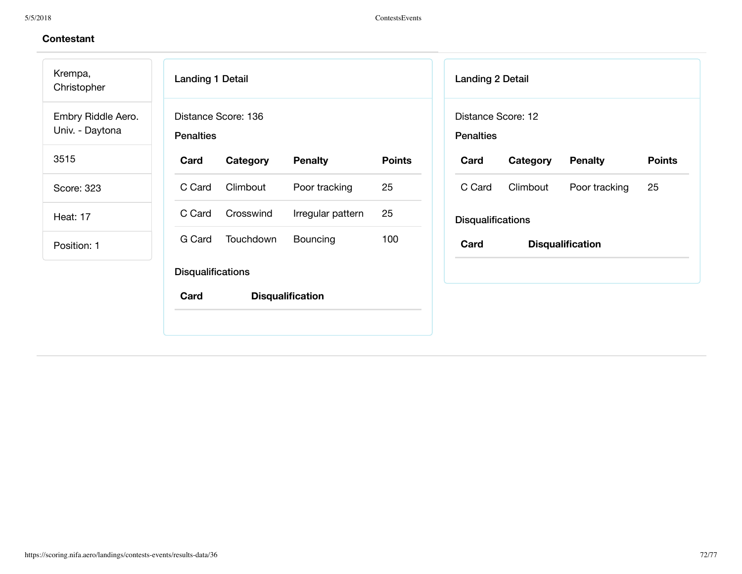| Krempa,<br>Christopher                | <b>Landing 1 Detail</b>  |                     |                         |               | <b>Landing 2 Detail</b>                |          |                         |
|---------------------------------------|--------------------------|---------------------|-------------------------|---------------|----------------------------------------|----------|-------------------------|
| Embry Riddle Aero.<br>Univ. - Daytona | <b>Penalties</b>         | Distance Score: 136 |                         |               | Distance Score: 12<br><b>Penalties</b> |          |                         |
| 3515                                  | Card                     | Category            | <b>Penalty</b>          | <b>Points</b> | Card                                   | Category | <b>Penalty</b>          |
| Score: 323                            | C Card                   | Climbout            | Poor tracking           | 25            | C Card                                 | Climbout | Poor tracking           |
| <b>Heat: 17</b>                       | C Card                   | Crosswind           | Irregular pattern       | 25            | <b>Disqualifications</b>               |          |                         |
| Position: 1                           | G Card                   | Touchdown           | Bouncing                | 100           | Card                                   |          | <b>Disqualification</b> |
|                                       | <b>Disqualifications</b> |                     |                         |               |                                        |          |                         |
|                                       | Card                     |                     | <b>Disqualification</b> |               |                                        |          |                         |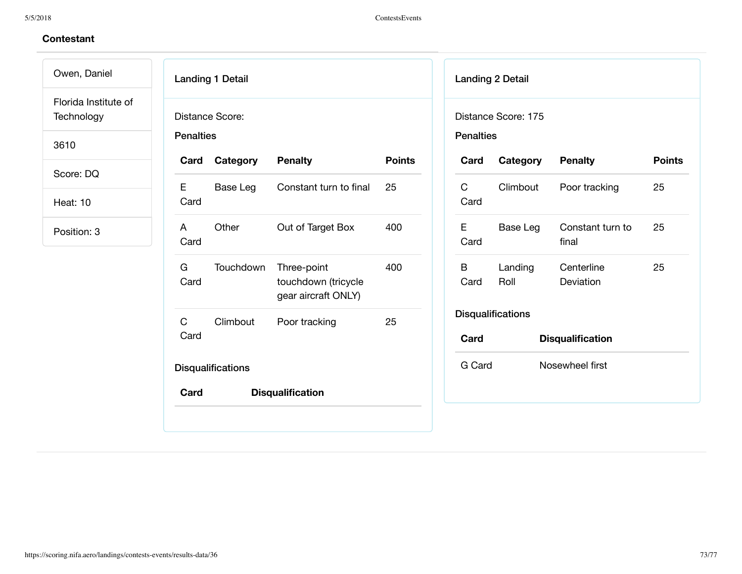Owen, Daniel Florida Institute of **Technology** 

3610

Score: DQ

Heat: 10

|                  | <b>Landing 1 Detail</b>  |                                                           |               |
|------------------|--------------------------|-----------------------------------------------------------|---------------|
| <b>Penalties</b> | Distance Score:          |                                                           |               |
| Card             | Category                 | <b>Penalty</b>                                            | <b>Points</b> |
| E.<br>Card       | Base Leg                 | Constant turn to final                                    | 25            |
| A<br>Card        | Other                    | Out of Target Box                                         | 400           |
| G<br>Card        | Touchdown                | Three-point<br>touchdown (tricycle<br>gear aircraft ONLY) | 400           |
| C<br>Card        | Climbout                 | Poor tracking                                             | 25            |
|                  | <b>Disqualifications</b> |                                                           |               |
| Card             |                          | <b>Disqualification</b>                                   |               |

| <b>Landing 2 Detail</b>  |                     |                           |               |  |
|--------------------------|---------------------|---------------------------|---------------|--|
| <b>Penalties</b>         | Distance Score: 175 |                           |               |  |
| Card                     | Category            | <b>Penalty</b>            | <b>Points</b> |  |
| C<br>Card                | Climbout            | Poor tracking             | 25            |  |
| F<br>Card                | Base Leg            | Constant turn to<br>final | 25            |  |
| В<br>Card                | Landing<br>Roll     | Centerline<br>Deviation   | 25            |  |
| <b>Disqualifications</b> |                     |                           |               |  |
| Card                     |                     | <b>Disqualification</b>   |               |  |
| G Card                   |                     | Nosewheel first           |               |  |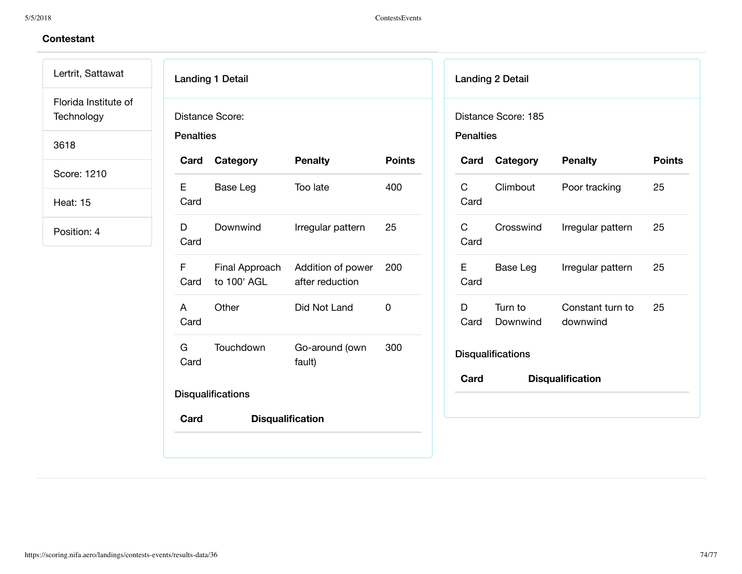Lertrit, Sattawat Florida Institute of **Technology** 

3618

Score: 1210

Heat: 15

| Card        | Category    | <b>Penalty</b>                                      | <b>Points</b> |
|-------------|-------------|-----------------------------------------------------|---------------|
| E.<br>Card  | Base Leg    | Too late                                            | 400           |
| D.<br>Card  | Downwind    | Irregular pattern                                   | 25            |
| F<br>Card   | to 100' AGL | Final Approach Addition of power<br>after reduction | 200           |
| A<br>Card   | Other       | Did Not Land                                        | 0             |
| G a<br>Card | Touchdown   | Go-around (own<br>fault)                            | 300           |

|                      | <b>Landing 2 Detail</b> |                              |               |
|----------------------|-------------------------|------------------------------|---------------|
| <b>Penalties</b>     | Distance Score: 185     |                              |               |
|                      | <b>Card Category</b>    | <b>Penalty</b>               | <b>Points</b> |
| C.<br>Card           | Climbout                | Poor tracking                | 25            |
| $\mathsf{C}$<br>Card | Crosswind               | Irregular pattern            | 25            |
| E<br>Card            | Base Leg                | Irregular pattern            | 25            |
| D<br>Card            | Turn to<br>Downwind     | Constant turn to<br>downwind | 25            |
|                      | Disqualifications       |                              |               |
| Card                 |                         | <b>Disqualification</b>      |               |
|                      |                         |                              |               |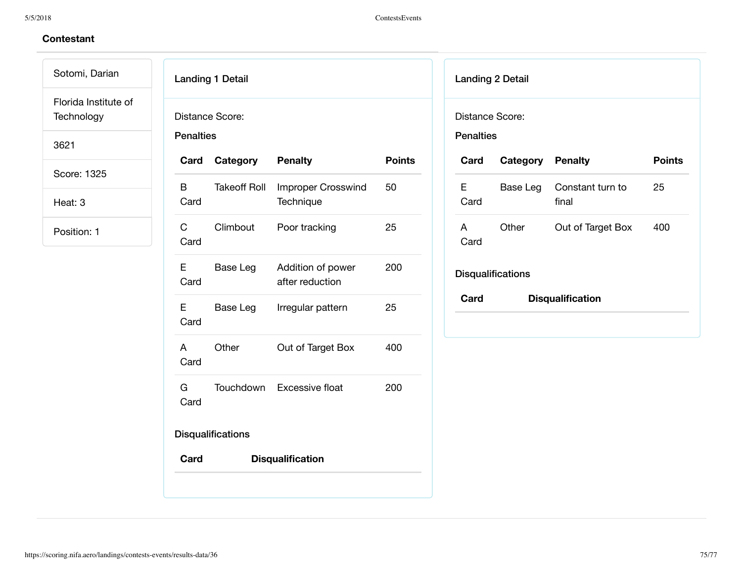Sotomi, Darian Florida Institute of **Technology** 

3621

Score: 1325

Heat: 3

|                                       | Distance Score:          |                                        |               |
|---------------------------------------|--------------------------|----------------------------------------|---------------|
| <b>Penalties</b>                      |                          |                                        |               |
| Card                                  | Category                 | <b>Penalty</b>                         | <b>Points</b> |
| B<br>Card                             | <b>Takeoff Roll</b>      | <b>Improper Crosswind</b><br>Technique | 50            |
| $\mathbf{C}$ and $\mathbf{C}$<br>Card | Climbout                 | Poor tracking                          | 25            |
| E.<br>Card                            | Base Leg                 | Addition of power<br>after reduction   | 200           |
| E.<br>Card                            | Base Leg                 | Irregular pattern                      | 25            |
| A<br>Card                             | Other                    | Out of Target Box                      | 400           |
| G a<br>Card                           |                          | Touchdown Excessive float              | 200           |
|                                       | <b>Disqualifications</b> |                                        |               |
| Card                                  |                          | <b>Disqualification</b>                |               |

|                  | <b>Landing 2 Detail</b>  |                           |               |
|------------------|--------------------------|---------------------------|---------------|
| Distance Score:  |                          |                           |               |
| <b>Penalties</b> |                          |                           |               |
| Card             | <b>Category Penalty</b>  |                           | <b>Points</b> |
| E.<br>Card       | Base Leg                 | Constant turn to<br>final | 25            |
| A<br>Card        | Other                    | Out of Target Box         | 400           |
|                  | <b>Disqualifications</b> |                           |               |
| Card             |                          | <b>Disqualification</b>   |               |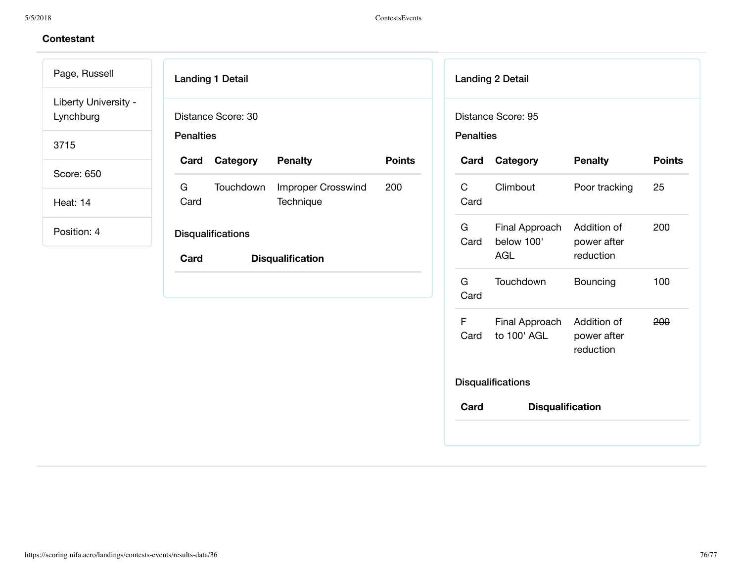Page, Russell Liberty University - Lynchburg

3715

Score: 650

Heat: 14

| <b>Penalties</b> | Distance Score: 30 |                                 |               |
|------------------|--------------------|---------------------------------|---------------|
| Card             | Category           | <b>Penalty</b>                  | <b>Points</b> |
| G<br>Card        | Touchdown          | Improper Crosswind<br>Technique | 200           |
|                  | Disqualifications  |                                 |               |
| Card             |                    | <b>Disqualification</b>         |               |
|                  |                    |                                 |               |
|                  |                    |                                 |               |
|                  |                    |                                 |               |

|                  | <b>Landing 2 Detail</b>                    |                                         |               |
|------------------|--------------------------------------------|-----------------------------------------|---------------|
| <b>Penalties</b> | Distance Score: 95                         |                                         |               |
| Card             | Category                                   | <b>Penalty</b>                          | <b>Points</b> |
| C<br>Card        | Climbout                                   | Poor tracking                           | 25            |
| G.<br>Card       | Final Approach<br>below 100'<br><b>AGL</b> | Addition of<br>power after<br>reduction | 200           |
| G<br>Card        | Touchdown                                  | Bouncing                                | 100           |
| F<br>Card        | Final Approach<br>to 100' AGL              | Addition of<br>power after<br>reduction | 200           |
|                  | <b>Disqualifications</b>                   |                                         |               |
| Card             | <b>Disqualification</b>                    |                                         |               |
|                  |                                            |                                         |               |